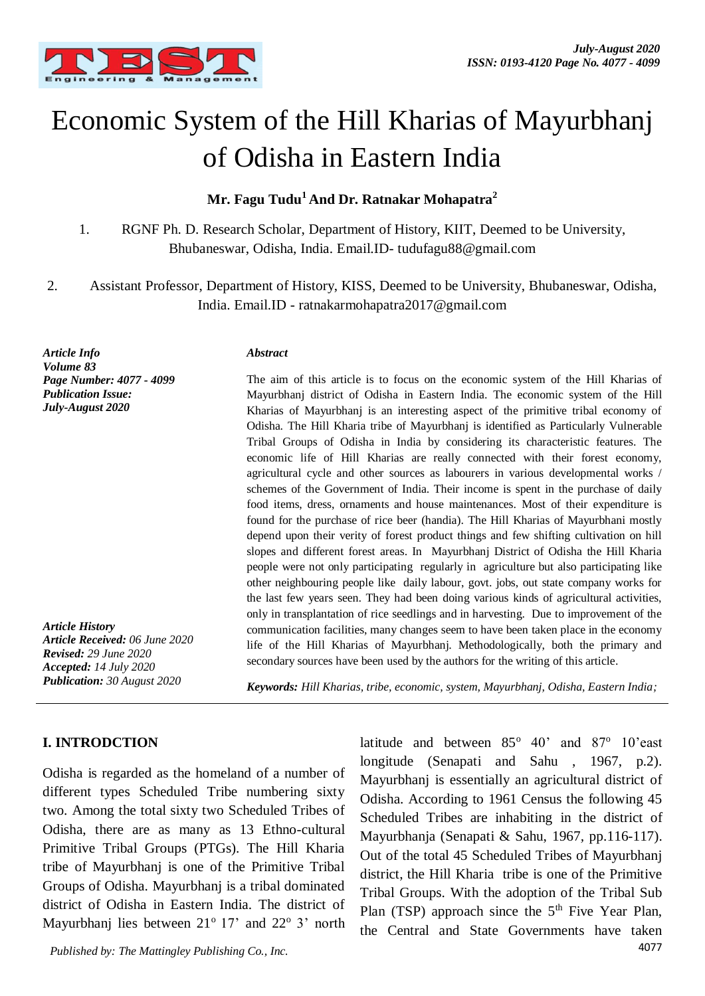

# Economic System of the Hill Kharias of Mayurbhanj of Odisha in Eastern India

## **Mr. Fagu Tudu<sup>1</sup>And Dr. Ratnakar Mohapatra<sup>2</sup>**

- 1. RGNF Ph. D. Research Scholar, Department of History, KIIT, Deemed to be University, Bhubaneswar, Odisha, India. Email.ID- tudufagu88@gmail.com
- 2. Assistant Professor, Department of History, KISS, Deemed to be University, Bhubaneswar, Odisha, India. Email.ID - ratnakarmohapatra2017@gmail.com

*Article Info Volume 83 Page Number: 4077 - 4099 Publication Issue: July-August 2020*

*Article History Article Received: 06 June 2020 Revised: 29 June 2020 Accepted: 14 July 2020 Publication: 30 August 2020*

**I. INTRODCTION** 

#### *Abstract*

The aim of this article is to focus on the economic system of the Hill Kharias of Mayurbhanj district of Odisha in Eastern India. The economic system of the Hill Kharias of Mayurbhanj is an interesting aspect of the primitive tribal economy of Odisha. The Hill Kharia tribe of Mayurbhanj is identified as Particularly Vulnerable Tribal Groups of Odisha in India by considering its characteristic features. The economic life of Hill Kharias are really connected with their forest economy, agricultural cycle and other sources as labourers in various developmental works / schemes of the Government of India. Their income is spent in the purchase of daily food items, dress, ornaments and house maintenances. Most of their expenditure is found for the purchase of rice beer (handia). The Hill Kharias of Mayurbhani mostly depend upon their verity of forest product things and few shifting cultivation on hill slopes and different forest areas. In Mayurbhanj District of Odisha the Hill Kharia people were not only participating regularly in agriculture but also participating like other neighbouring people like daily labour, govt. jobs, out state company works for the last few years seen. They had been doing various kinds of agricultural activities, only in transplantation of rice seedlings and in harvesting. Due to improvement of the communication facilities, many changes seem to have been taken place in the economy life of the Hill Kharias of Mayurbhanj. Methodologically, both the primary and secondary sources have been used by the authors for the writing of this article.

*Keywords: Hill Kharias, tribe, economic, system, Mayurbhanj, Odisha, Eastern India;*

# Odisha is regarded as the homeland of a number of different types Scheduled Tribe numbering sixty two. Among the total sixty two Scheduled Tribes of Odisha, there are as many as 13 Ethno-cultural Primitive Tribal Groups (PTGs). The Hill Kharia tribe of Mayurbhanj is one of the Primitive Tribal Groups of Odisha. Mayurbhanj is a tribal dominated district of Odisha in Eastern India. The district of Mayurbhanj lies between  $21^{\circ}$  17' and  $22^{\circ}$  3' north

latitude and between 85° 40' and 87° 10'east longitude (Senapati and Sahu , 1967, p.2). Mayurbhanj is essentially an agricultural district of Odisha. According to 1961 Census the following 45 Scheduled Tribes are inhabiting in the district of Mayurbhanja (Senapati & Sahu, 1967*,* pp.116-117). Out of the total 45 Scheduled Tribes of Mayurbhanj district, the Hill Kharia tribe is one of the Primitive Tribal Groups. With the adoption of the Tribal Sub Plan (TSP) approach since the  $5<sup>th</sup>$  Five Year Plan. the Central and State Governments have taken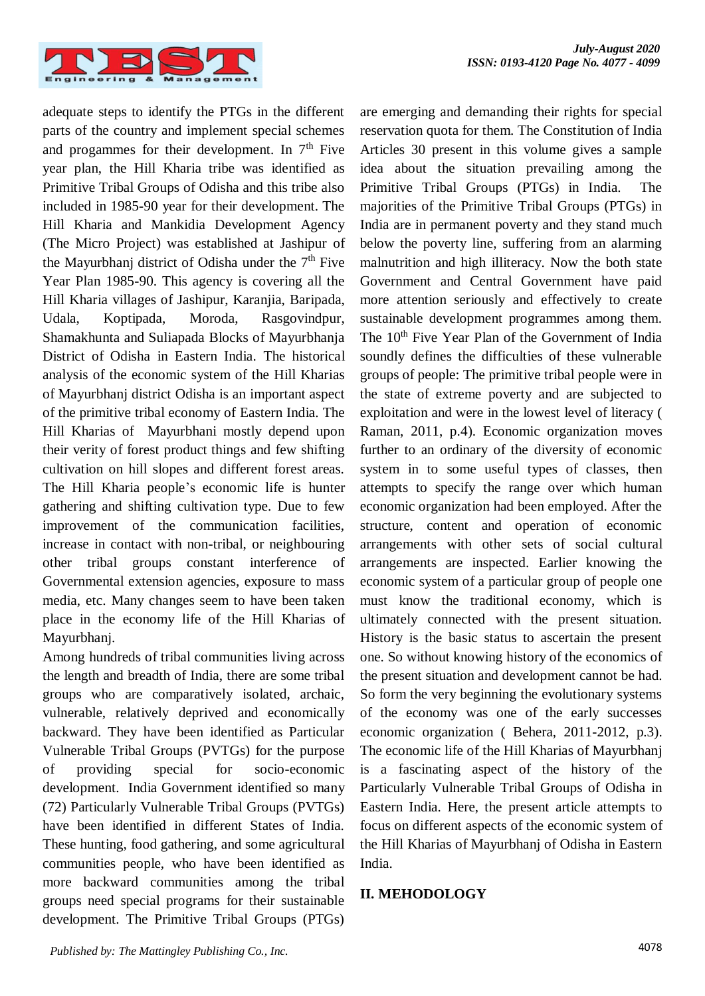

adequate steps to identify the PTGs in the different parts of the country and implement special schemes and progammes for their development. In  $7<sup>th</sup>$  Five year plan, the Hill Kharia tribe was identified as Primitive Tribal Groups of Odisha and this tribe also included in 1985-90 year for their development. The Hill Kharia and Mankidia Development Agency (The Micro Project) was established at Jashipur of the Mayurbhanj district of Odisha under the  $7<sup>th</sup>$  Five Year Plan 1985-90. This agency is covering all the Hill Kharia villages of Jashipur, Karanjia, Baripada, Udala, Koptipada, Moroda, Rasgovindpur, Shamakhunta and Suliapada Blocks of Mayurbhanja District of Odisha in Eastern India. The historical analysis of the economic system of the Hill Kharias of Mayurbhanj district Odisha is an important aspect of the primitive tribal economy of Eastern India. The Hill Kharias of Mayurbhani mostly depend upon their verity of forest product things and few shifting cultivation on hill slopes and different forest areas. The Hill Kharia people's economic life is hunter gathering and shifting cultivation type. Due to few improvement of the communication facilities, increase in contact with non-tribal, or neighbouring other tribal groups constant interference of Governmental extension agencies, exposure to mass media, etc. Many changes seem to have been taken place in the economy life of the Hill Kharias of Mayurbhanj.

Among hundreds of tribal communities living across the length and breadth of India, there are some tribal groups who are comparatively isolated, archaic, vulnerable, relatively deprived and economically backward. They have been identified as Particular Vulnerable Tribal Groups (PVTGs) for the purpose of providing special for socio-economic development. India Government identified so many (72) Particularly Vulnerable Tribal Groups (PVTGs) have been identified in different States of India. These hunting, food gathering, and some agricultural communities people, who have been identified as more backward communities among the tribal groups need special programs for their sustainable development. The Primitive Tribal Groups (PTGs)

are emerging and demanding their rights for special reservation quota for them. The Constitution of India Articles 30 present in this volume gives a sample idea about the situation prevailing among the Primitive Tribal Groups (PTGs) in India. The majorities of the Primitive Tribal Groups (PTGs) in India are in permanent poverty and they stand much below the poverty line, suffering from an alarming malnutrition and high illiteracy. Now the both state Government and Central Government have paid more attention seriously and effectively to create sustainable development programmes among them. The 10<sup>th</sup> Five Year Plan of the Government of India soundly defines the difficulties of these vulnerable groups of people: The primitive tribal people were in the state of extreme poverty and are subjected to exploitation and were in the lowest level of literacy ( Raman, 2011, p.4). Economic organization moves further to an ordinary of the diversity of economic system in to some useful types of classes, then attempts to specify the range over which human economic organization had been employed. After the structure, content and operation of economic arrangements with other sets of social cultural arrangements are inspected. Earlier knowing the economic system of a particular group of people one must know the traditional economy, which is ultimately connected with the present situation. History is the basic status to ascertain the present one. So without knowing history of the economics of the present situation and development cannot be had. So form the very beginning the evolutionary systems of the economy was one of the early successes economic organization ( Behera, 2011-2012, p.3). The economic life of the Hill Kharias of Mayurbhanj is a fascinating aspect of the history of the Particularly Vulnerable Tribal Groups of Odisha in Eastern India. Here, the present article attempts to focus on different aspects of the economic system of the Hill Kharias of Mayurbhanj of Odisha in Eastern India.

## **II. MEHODOLOGY**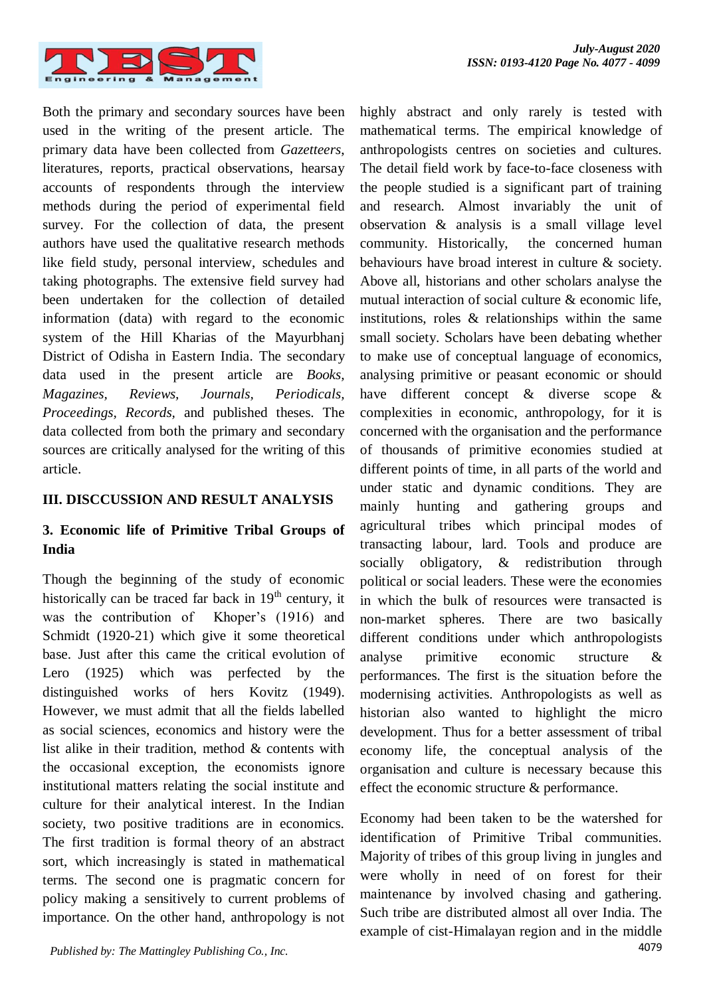highly abstract and only rarely is tested with mathematical terms. The empirical knowledge of



Both the primary and secondary sources have been used in the writing of the present article. The primary data have been collected from *Gazetteers*, literatures, reports, practical observations, hearsay accounts of respondents through the interview methods during the period of experimental field survey. For the collection of data, the present authors have used the qualitative research methods like field study, personal interview, schedules and taking photographs. The extensive field survey had been undertaken for the collection of detailed information (data) with regard to the economic system of the Hill Kharias of the Mayurbhanj District of Odisha in Eastern India. The secondary data used in the present article are *Books, Magazines, Reviews, Journals, Periodicals, Proceedings, Records,* and published theses. The data collected from both the primary and secondary sources are critically analysed for the writing of this article.

## **III. DISCCUSSION AND RESULT ANALYSIS**

## **3. Economic life of Primitive Tribal Groups of India**

Though the beginning of the study of economic historically can be traced far back in  $19<sup>th</sup>$  century, it was the contribution of Khoper's (1916) and Schmidt (1920-21) which give it some theoretical base. Just after this came the critical evolution of Lero (1925) which was perfected by the distinguished works of hers Kovitz (1949). However, we must admit that all the fields labelled as social sciences, economics and history were the list alike in their tradition, method & contents with the occasional exception, the economists ignore institutional matters relating the social institute and culture for their analytical interest. In the Indian society, two positive traditions are in economics. The first tradition is formal theory of an abstract sort, which increasingly is stated in mathematical terms. The second one is pragmatic concern for policy making a sensitively to current problems of importance. On the other hand, anthropology is not

anthropologists centres on societies and cultures. The detail field work by face-to-face closeness with the people studied is a significant part of training and research. Almost invariably the unit of observation & analysis is a small village level community. Historically, the concerned human behaviours have broad interest in culture & society. Above all, historians and other scholars analyse the mutual interaction of social culture & economic life, institutions, roles  $\&$  relationships within the same small society. Scholars have been debating whether to make use of conceptual language of economics, analysing primitive or peasant economic or should have different concept & diverse scope & complexities in economic, anthropology, for it is concerned with the organisation and the performance of thousands of primitive economies studied at different points of time, in all parts of the world and under static and dynamic conditions. They are mainly hunting and gathering groups and agricultural tribes which principal modes of transacting labour, lard. Tools and produce are socially obligatory, & redistribution through political or social leaders. These were the economies in which the bulk of resources were transacted is non-market spheres. There are two basically different conditions under which anthropologists analyse primitive economic structure & performances. The first is the situation before the modernising activities. Anthropologists as well as historian also wanted to highlight the micro development. Thus for a better assessment of tribal economy life, the conceptual analysis of the organisation and culture is necessary because this effect the economic structure & performance. Economy had been taken to be the watershed for identification of Primitive Tribal communities.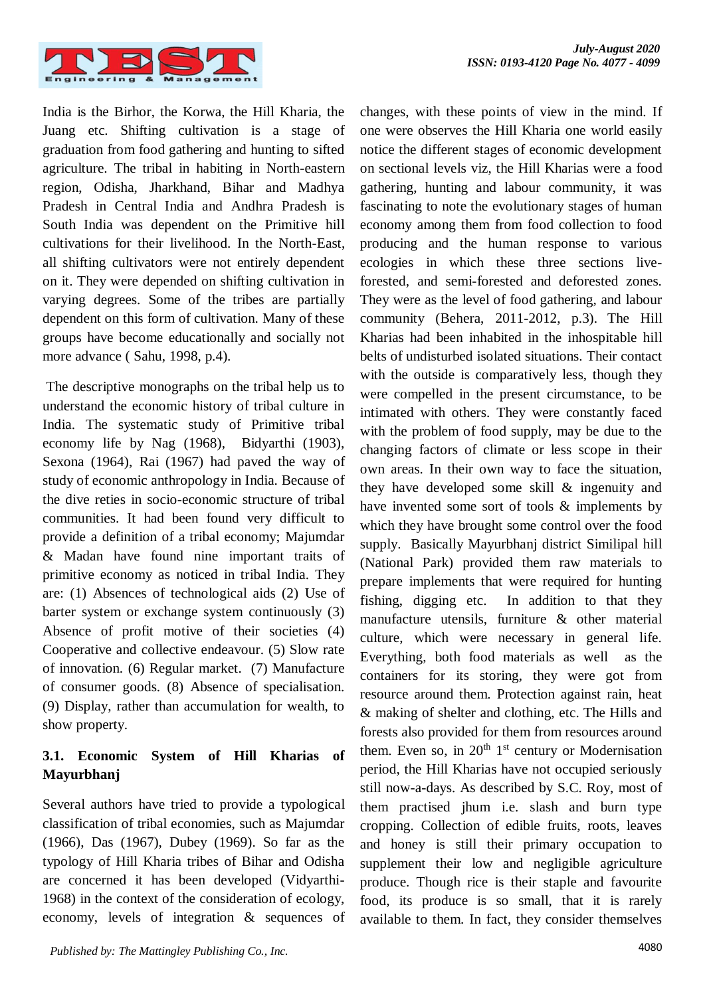changes, with these points of view in the mind. If



India is the Birhor, the Korwa, the Hill Kharia, the Juang etc. Shifting cultivation is a stage of graduation from food gathering and hunting to sifted agriculture. The tribal in habiting in North-eastern region, Odisha, Jharkhand, Bihar and Madhya Pradesh in Central India and Andhra Pradesh is South India was dependent on the Primitive hill cultivations for their livelihood. In the North-East, all shifting cultivators were not entirely dependent on it. They were depended on shifting cultivation in varying degrees. Some of the tribes are partially dependent on this form of cultivation. Many of these groups have become educationally and socially not more advance ( Sahu, 1998, p.4).

The descriptive monographs on the tribal help us to understand the economic history of tribal culture in India. The systematic study of Primitive tribal economy life by Nag (1968), Bidyarthi (1903), Sexona (1964), Rai (1967) had paved the way of study of economic anthropology in India. Because of the dive reties in socio-economic structure of tribal communities. It had been found very difficult to provide a definition of a tribal economy; Majumdar & Madan have found nine important traits of primitive economy as noticed in tribal India. They are: (1) Absences of technological aids (2) Use of barter system or exchange system continuously (3) Absence of profit motive of their societies (4) Cooperative and collective endeavour. (5) Slow rate of innovation. (6) Regular market. (7) Manufacture of consumer goods. (8) Absence of specialisation. (9) Display, rather than accumulation for wealth, to show property.

# **3.1. Economic System of Hill Kharias of Mayurbhanj**

Several authors have tried to provide a typological classification of tribal economies, such as Majumdar (1966), Das (1967), Dubey (1969). So far as the typology of Hill Kharia tribes of Bihar and Odisha are concerned it has been developed (Vidyarthi-1968) in the context of the consideration of ecology, economy, levels of integration & sequences of

one were observes the Hill Kharia one world easily notice the different stages of economic development on sectional levels viz, the Hill Kharias were a food gathering, hunting and labour community, it was fascinating to note the evolutionary stages of human economy among them from food collection to food producing and the human response to various ecologies in which these three sections liveforested, and semi-forested and deforested zones. They were as the level of food gathering, and labour community (Behera, 2011-2012, p.3). The Hill Kharias had been inhabited in the inhospitable hill belts of undisturbed isolated situations. Their contact with the outside is comparatively less, though they were compelled in the present circumstance, to be intimated with others. They were constantly faced with the problem of food supply, may be due to the changing factors of climate or less scope in their own areas. In their own way to face the situation, they have developed some skill & ingenuity and have invented some sort of tools & implements by which they have brought some control over the food supply. Basically Mayurbhanj district Similipal hill (National Park) provided them raw materials to prepare implements that were required for hunting fishing, digging etc. In addition to that they manufacture utensils, furniture & other material culture, which were necessary in general life. Everything, both food materials as well as the containers for its storing, they were got from resource around them. Protection against rain, heat & making of shelter and clothing, etc. The Hills and forests also provided for them from resources around them. Even so, in  $20<sup>th</sup> 1<sup>st</sup>$  century or Modernisation period, the Hill Kharias have not occupied seriously still now-a-days. As described by S.C. Roy, most of them practised jhum i.e. slash and burn type cropping. Collection of edible fruits, roots, leaves and honey is still their primary occupation to supplement their low and negligible agriculture produce. Though rice is their staple and favourite food, its produce is so small, that it is rarely available to them. In fact, they consider themselves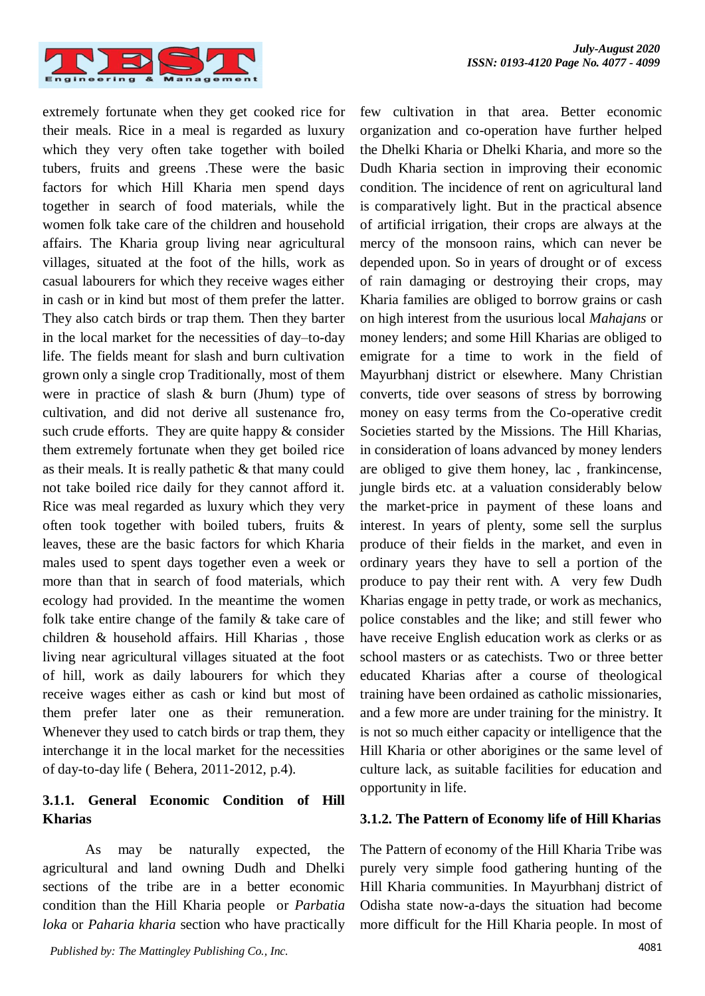few cultivation in that area. Better economic organization and co-operation have further helped the Dhelki Kharia or Dhelki Kharia, and more so the



extremely fortunate when they get cooked rice for their meals. Rice in a meal is regarded as luxury which they very often take together with boiled tubers, fruits and greens .These were the basic factors for which Hill Kharia men spend days together in search of food materials, while the women folk take care of the children and household affairs. The Kharia group living near agricultural villages, situated at the foot of the hills, work as casual labourers for which they receive wages either in cash or in kind but most of them prefer the latter. They also catch birds or trap them. Then they barter in the local market for the necessities of day–to-day life. The fields meant for slash and burn cultivation grown only a single crop Traditionally, most of them were in practice of slash & burn (Jhum) type of cultivation, and did not derive all sustenance fro, such crude efforts. They are quite happy  $\&$  consider them extremely fortunate when they get boiled rice as their meals. It is really pathetic & that many could not take boiled rice daily for they cannot afford it. Rice was meal regarded as luxury which they very often took together with boiled tubers, fruits & leaves, these are the basic factors for which Kharia males used to spent days together even a week or more than that in search of food materials, which ecology had provided. In the meantime the women folk take entire change of the family & take care of children & household affairs. Hill Kharias , those living near agricultural villages situated at the foot of hill, work as daily labourers for which they receive wages either as cash or kind but most of them prefer later one as their remuneration. Whenever they used to catch birds or trap them, they interchange it in the local market for the necessities of day-to-day life ( Behera, 2011-2012, p.4).

# **3.1.1. General Economic Condition of Hill Kharias**

As may be naturally expected, the agricultural and land owning Dudh and Dhelki sections of the tribe are in a better economic condition than the Hill Kharia people or *Parbatia loka* or *Paharia kharia* section who have practically

Dudh Kharia section in improving their economic condition. The incidence of rent on agricultural land is comparatively light. But in the practical absence of artificial irrigation, their crops are always at the mercy of the monsoon rains, which can never be depended upon. So in years of drought or of excess of rain damaging or destroying their crops, may Kharia families are obliged to borrow grains or cash on high interest from the usurious local *Mahajans* or money lenders; and some Hill Kharias are obliged to emigrate for a time to work in the field of Mayurbhanj district or elsewhere. Many Christian converts, tide over seasons of stress by borrowing money on easy terms from the Co-operative credit Societies started by the Missions. The Hill Kharias, in consideration of loans advanced by money lenders are obliged to give them honey, lac , frankincense, jungle birds etc. at a valuation considerably below the market-price in payment of these loans and interest. In years of plenty, some sell the surplus produce of their fields in the market, and even in ordinary years they have to sell a portion of the produce to pay their rent with. A very few Dudh Kharias engage in petty trade, or work as mechanics, police constables and the like; and still fewer who have receive English education work as clerks or as school masters or as catechists. Two or three better educated Kharias after a course of theological training have been ordained as catholic missionaries, and a few more are under training for the ministry. It is not so much either capacity or intelligence that the Hill Kharia or other aborigines or the same level of culture lack, as suitable facilities for education and opportunity in life. **3.1.2. The Pattern of Economy life of Hill Kharias**

The Pattern of economy of the Hill Kharia Tribe was purely very simple food gathering hunting of the Hill Kharia communities. In Mayurbhanj district of Odisha state now-a-days the situation had become more difficult for the Hill Kharia people. In most of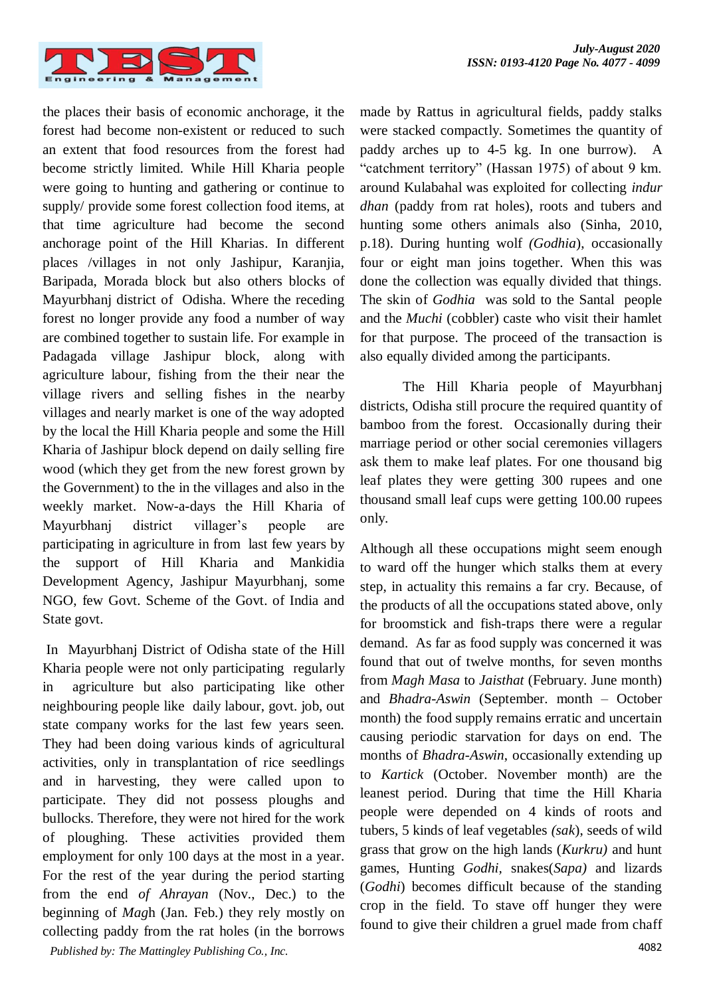

the places their basis of economic anchorage, it the forest had become non-existent or reduced to such an extent that food resources from the forest had become strictly limited. While Hill Kharia people were going to hunting and gathering or continue to supply/ provide some forest collection food items, at that time agriculture had become the second anchorage point of the Hill Kharias. In different places /villages in not only Jashipur, Karanjia, Baripada, Morada block but also others blocks of Mayurbhanj district of Odisha. Where the receding forest no longer provide any food a number of way are combined together to sustain life. For example in Padagada village Jashipur block, along with agriculture labour, fishing from the their near the village rivers and selling fishes in the nearby villages and nearly market is one of the way adopted by the local the Hill Kharia people and some the Hill Kharia of Jashipur block depend on daily selling fire wood (which they get from the new forest grown by the Government) to the in the villages and also in the weekly market. Now-a-days the Hill Kharia of Mayurbhanj district villager's people are participating in agriculture in from last few years by the support of Hill Kharia and Mankidia Development Agency, Jashipur Mayurbhanj, some NGO, few Govt. Scheme of the Govt. of India and State govt.

4082 *Published by: The Mattingley Publishing Co., Inc.* In Mayurbhanj District of Odisha state of the Hill Kharia people were not only participating regularly in agriculture but also participating like other neighbouring people like daily labour, govt. job, out state company works for the last few years seen. They had been doing various kinds of agricultural activities, only in transplantation of rice seedlings and in harvesting, they were called upon to participate. They did not possess ploughs and bullocks. Therefore, they were not hired for the work of ploughing. These activities provided them employment for only 100 days at the most in a year. For the rest of the year during the period starting from the end *of Ahrayan* (Nov., Dec.) to the beginning of *Mag*h (Jan. Feb.) they rely mostly on collecting paddy from the rat holes (in the borrows

made by Rattus in agricultural fields, paddy stalks were stacked compactly. Sometimes the quantity of paddy arches up to 4-5 kg. In one burrow). A "catchment territory" (Hassan 1975) of about 9 km. around Kulabahal was exploited for collecting *indur dhan* (paddy from rat holes), roots and tubers and hunting some others animals also (Sinha, 2010, p.18). During hunting wolf *(Godhia*), occasionally four or eight man joins together. When this was done the collection was equally divided that things. The skin of *Godhia* was sold to the Santal people and the *Muchi* (cobbler) caste who visit their hamlet for that purpose. The proceed of the transaction is also equally divided among the participants.

The Hill Kharia people of Mayurbhanj districts, Odisha still procure the required quantity of bamboo from the forest. Occasionally during their marriage period or other social ceremonies villagers ask them to make leaf plates. For one thousand big leaf plates they were getting 300 rupees and one thousand small leaf cups were getting 100.00 rupees only.

Although all these occupations might seem enough to ward off the hunger which stalks them at every step, in actuality this remains a far cry. Because, of the products of all the occupations stated above, only for broomstick and fish-traps there were a regular demand. As far as food supply was concerned it was found that out of twelve months, for seven months from *Magh Masa* to *Jaisthat* (February. June month) and *Bhadra-Aswin* (September. month – October month) the food supply remains erratic and uncertain causing periodic starvation for days on end. The months of *Bhadra-Aswin*, occasionally extending up to *Kartick* (October. November month) are the leanest period. During that time the Hill Kharia people were depended on 4 kinds of roots and tubers, 5 kinds of leaf vegetables *(sak*), seeds of wild grass that grow on the high lands (*Kurkru)* and hunt games, Hunting *Godhi,* snakes(*Sapa)* and lizards (*Godhi*) becomes difficult because of the standing crop in the field. To stave off hunger they were found to give their children a gruel made from chaff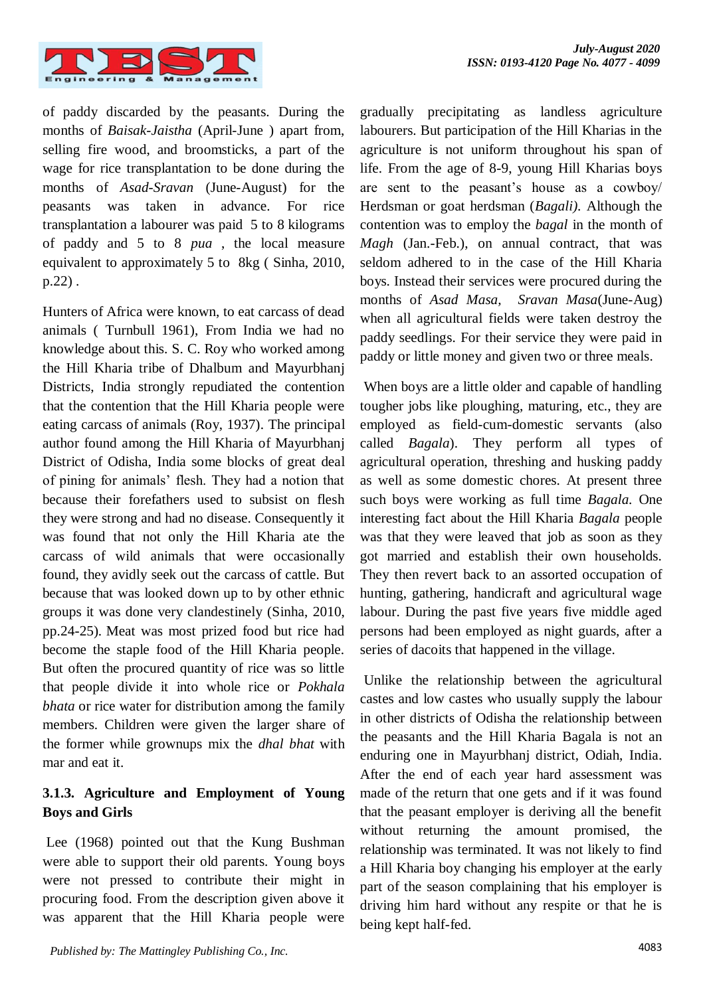

of paddy discarded by the peasants. During the months of *Baisak-Jaistha* (April-June ) apart from, selling fire wood, and broomsticks, a part of the wage for rice transplantation to be done during the months of *Asad-Sravan* (June-August) for the peasants was taken in advance. For rice transplantation a labourer was paid 5 to 8 kilograms of paddy and 5 to 8 *pua* , the local measure equivalent to approximately 5 to 8kg ( Sinha, 2010, p.22) .

Hunters of Africa were known, to eat carcass of dead animals ( Turnbull 1961), From India we had no knowledge about this. S. C. Roy who worked among the Hill Kharia tribe of Dhalbum and Mayurbhanj Districts, India strongly repudiated the contention that the contention that the Hill Kharia people were eating carcass of animals (Roy, 1937). The principal author found among the Hill Kharia of Mayurbhanj District of Odisha, India some blocks of great deal of pining for animals' flesh. They had a notion that because their forefathers used to subsist on flesh they were strong and had no disease. Consequently it was found that not only the Hill Kharia ate the carcass of wild animals that were occasionally found, they avidly seek out the carcass of cattle. But because that was looked down up to by other ethnic groups it was done very clandestinely (Sinha, 2010, pp.24-25). Meat was most prized food but rice had become the staple food of the Hill Kharia people. But often the procured quantity of rice was so little that people divide it into whole rice or *Pokhala bhata* or rice water for distribution among the family members. Children were given the larger share of the former while grownups mix the *dhal bhat* with mar and eat it.

# **3.1.3. Agriculture and Employment of Young Boys and Girls**

Lee (1968) pointed out that the Kung Bushman were able to support their old parents. Young boys were not pressed to contribute their might in procuring food. From the description given above it was apparent that the Hill Kharia people were gradually precipitating as landless agriculture labourers. But participation of the Hill Kharias in the agriculture is not uniform throughout his span of life. From the age of 8-9, young Hill Kharias boys are sent to the peasant's house as a cowboy/ Herdsman or goat herdsman (*Bagali).* Although the contention was to employ the *bagal* in the month of *Magh* (Jan.-Feb.), on annual contract, that was seldom adhered to in the case of the Hill Kharia boys. Instead their services were procured during the months of *Asad Masa, Sravan Masa*(June-Aug) when all agricultural fields were taken destroy the paddy seedlings. For their service they were paid in paddy or little money and given two or three meals.

When boys are a little older and capable of handling tougher jobs like ploughing, maturing, etc., they are employed as field-cum-domestic servants (also called *Bagala*). They perform all types of agricultural operation, threshing and husking paddy as well as some domestic chores. At present three such boys were working as full time *Bagala.* One interesting fact about the Hill Kharia *Bagala* people was that they were leaved that job as soon as they got married and establish their own households. They then revert back to an assorted occupation of hunting, gathering, handicraft and agricultural wage labour. During the past five years five middle aged persons had been employed as night guards, after a series of dacoits that happened in the village.

Unlike the relationship between the agricultural castes and low castes who usually supply the labour in other districts of Odisha the relationship between the peasants and the Hill Kharia Bagala is not an enduring one in Mayurbhanj district, Odiah, India. After the end of each year hard assessment was made of the return that one gets and if it was found that the peasant employer is deriving all the benefit without returning the amount promised, the relationship was terminated. It was not likely to find a Hill Kharia boy changing his employer at the early part of the season complaining that his employer is driving him hard without any respite or that he is being kept half-fed.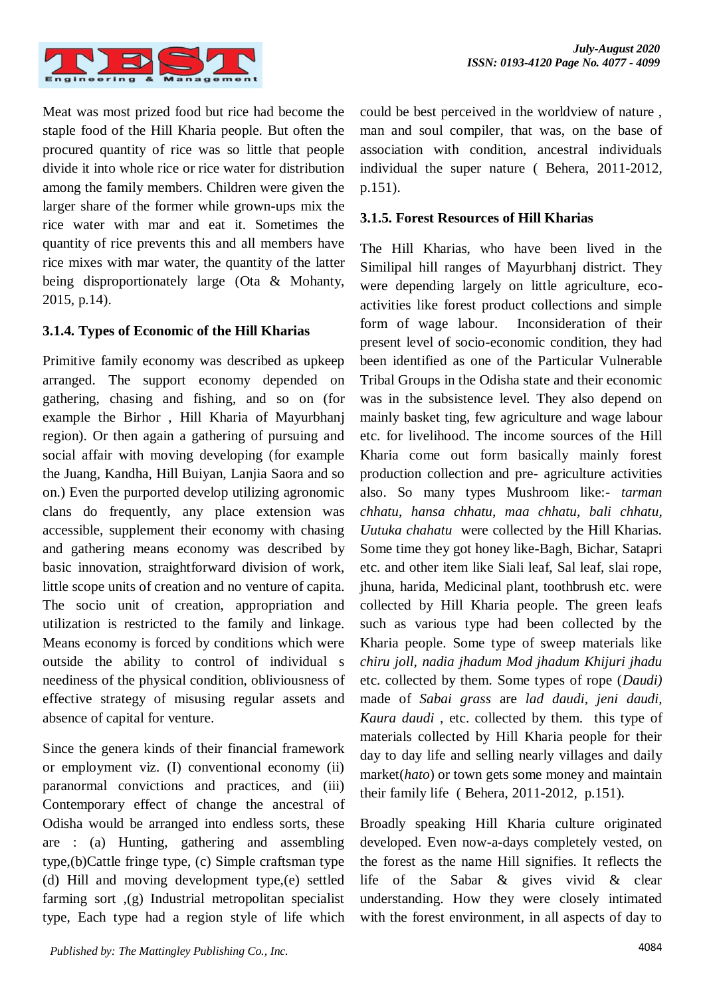

Meat was most prized food but rice had become the staple food of the Hill Kharia people. But often the procured quantity of rice was so little that people divide it into whole rice or rice water for distribution among the family members. Children were given the larger share of the former while grown-ups mix the rice water with mar and eat it. Sometimes the quantity of rice prevents this and all members have rice mixes with mar water, the quantity of the latter being disproportionately large (Ota & Mohanty, 2015, p.14).

## **3.1.4. Types of Economic of the Hill Kharias**

Primitive family economy was described as upkeep arranged. The support economy depended on gathering, chasing and fishing, and so on (for example the Birhor , Hill Kharia of Mayurbhanj region). Or then again a gathering of pursuing and social affair with moving developing (for example the Juang, Kandha, Hill Buiyan, Lanjia Saora and so on.) Even the purported develop utilizing agronomic clans do frequently, any place extension was accessible, supplement their economy with chasing and gathering means economy was described by basic innovation, straightforward division of work, little scope units of creation and no venture of capita. The socio unit of creation, appropriation and utilization is restricted to the family and linkage. Means economy is forced by conditions which were outside the ability to control of individual s neediness of the physical condition, obliviousness of effective strategy of misusing regular assets and absence of capital for venture.

Since the genera kinds of their financial framework or employment viz. (I) conventional economy (ii) paranormal convictions and practices, and (iii) Contemporary effect of change the ancestral of Odisha would be arranged into endless sorts, these are : (a) Hunting, gathering and assembling type,(b)Cattle fringe type, (c) Simple craftsman type (d) Hill and moving development type,(e) settled farming sort ,(g) Industrial metropolitan specialist type, Each type had a region style of life which could be best perceived in the worldview of nature , man and soul compiler, that was, on the base of association with condition, ancestral individuals individual the super nature ( Behera, 2011-2012*,*  p.151).

## **3.1.5. Forest Resources of Hill Kharias**

The Hill Kharias, who have been lived in the Similipal hill ranges of Mayurbhanj district. They were depending largely on little agriculture, ecoactivities like forest product collections and simple form of wage labour. Inconsideration of their present level of socio-economic condition, they had been identified as one of the Particular Vulnerable Tribal Groups in the Odisha state and their economic was in the subsistence level. They also depend on mainly basket ting, few agriculture and wage labour etc. for livelihood. The income sources of the Hill Kharia come out form basically mainly forest production collection and pre- agriculture activities also. So many types Mushroom like:- *tarman chhatu, hansa chhatu, maa chhatu, bali chhatu, Uutuka chahatu* were collected by the Hill Kharias. Some time they got honey like-Bagh, Bichar, Satapri etc. and other item like Siali leaf, Sal leaf, slai rope, jhuna, harida, Medicinal plant, toothbrush etc. were collected by Hill Kharia people. The green leafs such as various type had been collected by the Kharia people. Some type of sweep materials like *chiru joll, nadia jhadum Mod jhadum Khijuri jhadu* etc. collected by them. Some types of rope (*Daudi)*  made of *Sabai grass* are *lad daudi, jeni daudi, Kaura daudi* , etc. collected by them. this type of materials collected by Hill Kharia people for their day to day life and selling nearly villages and daily market(*hato*) or town gets some money and maintain their family life ( Behera, 2011-2012*,* p.151).

Broadly speaking Hill Kharia culture originated developed. Even now-a-days completely vested, on the forest as the name Hill signifies. It reflects the life of the Sabar & gives vivid & clear understanding. How they were closely intimated with the forest environment, in all aspects of day to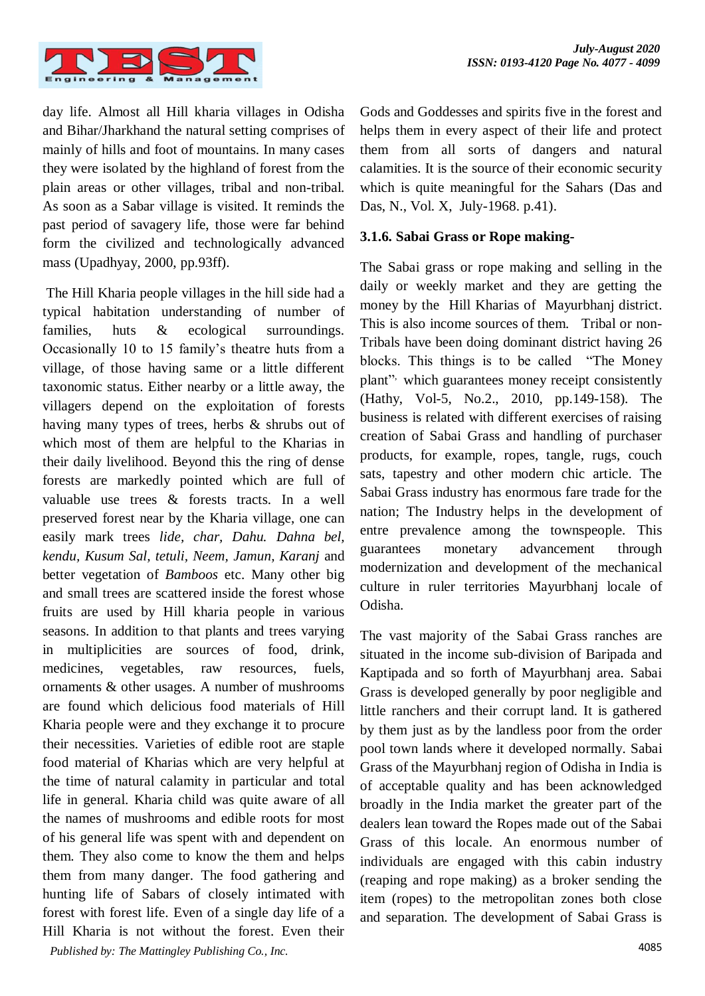

day life. Almost all Hill kharia villages in Odisha and Bihar/Jharkhand the natural setting comprises of mainly of hills and foot of mountains. In many cases they were isolated by the highland of forest from the plain areas or other villages, tribal and non-tribal. As soon as a Sabar village is visited. It reminds the past period of savagery life, those were far behind form the civilized and technologically advanced mass (Upadhyay, 2000, pp.93ff).

4085 *Published by: The Mattingley Publishing Co., Inc.* The Hill Kharia people villages in the hill side had a typical habitation understanding of number of families, huts & ecological surroundings. Occasionally 10 to 15 family's theatre huts from a village, of those having same or a little different taxonomic status. Either nearby or a little away, the villagers depend on the exploitation of forests having many types of trees, herbs & shrubs out of which most of them are helpful to the Kharias in their daily livelihood. Beyond this the ring of dense forests are markedly pointed which are full of valuable use trees & forests tracts. In a well preserved forest near by the Kharia village, one can easily mark trees *lide, char, Dahu. Dahna bel, kendu, Kusum Sal, tetuli, Neem, Jamun, Karanj* and better vegetation of *Bamboos* etc. Many other big and small trees are scattered inside the forest whose fruits are used by Hill kharia people in various seasons. In addition to that plants and trees varying in multiplicities are sources of food, drink, medicines, vegetables, raw resources, fuels, ornaments & other usages. A number of mushrooms are found which delicious food materials of Hill Kharia people were and they exchange it to procure their necessities. Varieties of edible root are staple food material of Kharias which are very helpful at the time of natural calamity in particular and total life in general. Kharia child was quite aware of all the names of mushrooms and edible roots for most of his general life was spent with and dependent on them. They also come to know the them and helps them from many danger. The food gathering and hunting life of Sabars of closely intimated with forest with forest life. Even of a single day life of a Hill Kharia is not without the forest. Even their

Gods and Goddesses and spirits five in the forest and helps them in every aspect of their life and protect them from all sorts of dangers and natural calamities. It is the source of their economic security which is quite meaningful for the Sahars (Das and Das, N., Vol. X, July-1968. p.41).

#### **3.1.6. Sabai Grass or Rope making-**

The Sabai grass or rope making and selling in the daily or weekly market and they are getting the money by the Hill Kharias of Mayurbhanj district. This is also income sources of them. Tribal or non-Tribals have been doing dominant district having 26 blocks. This things is to be called "The Money plant" which guarantees money receipt consistently (Hathy, Vol-5, No.2., 2010, pp.149-158). The business is related with different exercises of raising creation of Sabai Grass and handling of purchaser products, for example, ropes, tangle, rugs, couch sats, tapestry and other modern chic article. The Sabai Grass industry has enormous fare trade for the nation; The Industry helps in the development of entre prevalence among the townspeople. This guarantees monetary advancement through modernization and development of the mechanical culture in ruler territories Mayurbhanj locale of Odisha.

The vast majority of the Sabai Grass ranches are situated in the income sub-division of Baripada and Kaptipada and so forth of Mayurbhanj area. Sabai Grass is developed generally by poor negligible and little ranchers and their corrupt land. It is gathered by them just as by the landless poor from the order pool town lands where it developed normally. Sabai Grass of the Mayurbhanj region of Odisha in India is of acceptable quality and has been acknowledged broadly in the India market the greater part of the dealers lean toward the Ropes made out of the Sabai Grass of this locale. An enormous number of individuals are engaged with this cabin industry (reaping and rope making) as a broker sending the item (ropes) to the metropolitan zones both close and separation. The development of Sabai Grass is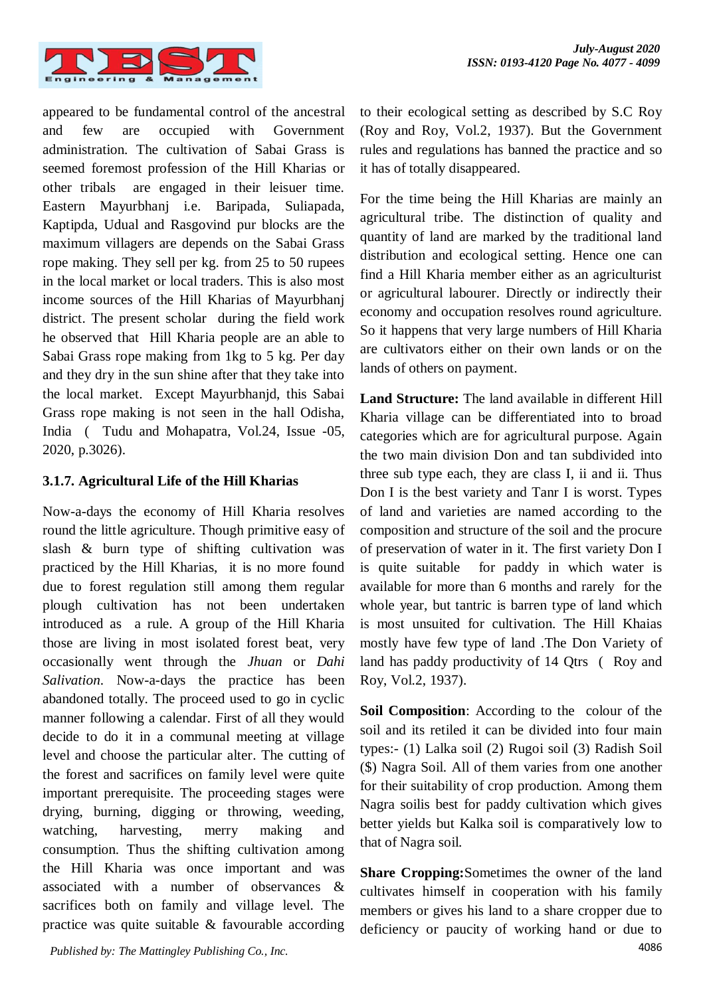

appeared to be fundamental control of the ancestral and few are occupied with Government administration. The cultivation of Sabai Grass is seemed foremost profession of the Hill Kharias or other tribals are engaged in their leisuer time. Eastern Mayurbhanj i.e. Baripada, Suliapada, Kaptipda, Udual and Rasgovind pur blocks are the maximum villagers are depends on the Sabai Grass rope making. They sell per kg. from 25 to 50 rupees in the local market or local traders. This is also most income sources of the Hill Kharias of Mayurbhanj district. The present scholar during the field work he observed that Hill Kharia people are an able to Sabai Grass rope making from 1kg to 5 kg. Per day and they dry in the sun shine after that they take into the local market. Except Mayurbhanjd, this Sabai Grass rope making is not seen in the hall Odisha, India ( Tudu and Mohapatra, Vol.24, Issue -05, 2020, p.3026).

## **3.1.7. Agricultural Life of the Hill Kharias**

Now-a-days the economy of Hill Kharia resolves round the little agriculture. Though primitive easy of slash & burn type of shifting cultivation was practiced by the Hill Kharias, it is no more found due to forest regulation still among them regular plough cultivation has not been undertaken introduced as a rule. A group of the Hill Kharia those are living in most isolated forest beat, very occasionally went through the *Jhuan* or *Dahi Salivation*. Now-a-days the practice has been abandoned totally. The proceed used to go in cyclic manner following a calendar. First of all they would decide to do it in a communal meeting at village level and choose the particular alter. The cutting of the forest and sacrifices on family level were quite important prerequisite. The proceeding stages were drying, burning, digging or throwing, weeding, watching, harvesting, merry making and consumption. Thus the shifting cultivation among the Hill Kharia was once important and was associated with a number of observances & sacrifices both on family and village level. The practice was quite suitable & favourable according

to their ecological setting as described by S.C Roy (Roy and Roy, Vol.2, 1937). But the Government rules and regulations has banned the practice and so it has of totally disappeared.

For the time being the Hill Kharias are mainly an agricultural tribe. The distinction of quality and quantity of land are marked by the traditional land distribution and ecological setting. Hence one can find a Hill Kharia member either as an agriculturist or agricultural labourer. Directly or indirectly their economy and occupation resolves round agriculture. So it happens that very large numbers of Hill Kharia are cultivators either on their own lands or on the lands of others on payment.

**Land Structure:** The land available in different Hill Kharia village can be differentiated into to broad categories which are for agricultural purpose. Again the two main division Don and tan subdivided into three sub type each, they are class I, ii and ii. Thus Don I is the best variety and Tanr I is worst. Types of land and varieties are named according to the composition and structure of the soil and the procure of preservation of water in it. The first variety Don I is quite suitable for paddy in which water is available for more than 6 months and rarely for the whole year, but tantric is barren type of land which is most unsuited for cultivation. The Hill Khaias mostly have few type of land .The Don Variety of land has paddy productivity of 14 Qtrs ( Roy and Roy, Vol.2, 1937).

**Soil Composition**: According to the colour of the soil and its retiled it can be divided into four main types:- (1) Lalka soil (2) Rugoi soil (3) Radish Soil (\$) Nagra Soil. All of them varies from one another for their suitability of crop production. Among them Nagra soilis best for paddy cultivation which gives better yields but Kalka soil is comparatively low to that of Nagra soil.

**Share Cropping:**Sometimes the owner of the land cultivates himself in cooperation with his family members or gives his land to a share cropper due to deficiency or paucity of working hand or due to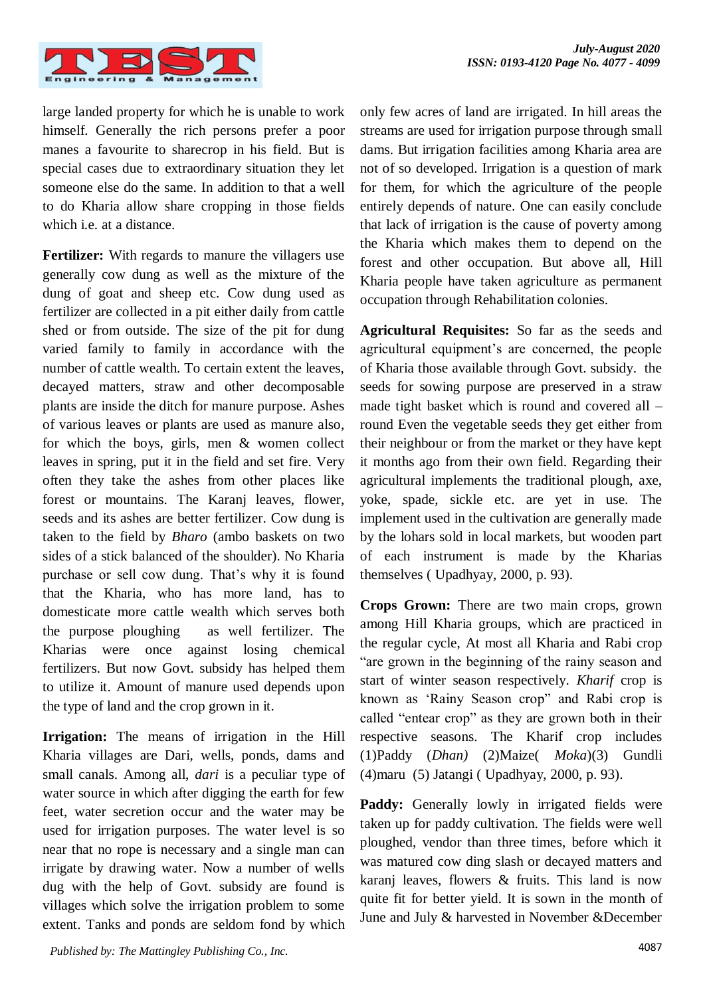

large landed property for which he is unable to work himself. Generally the rich persons prefer a poor manes a favourite to sharecrop in his field. But is special cases due to extraordinary situation they let someone else do the same. In addition to that a well to do Kharia allow share cropping in those fields which i.e. at a distance.

**Fertilizer:** With regards to manure the villagers use generally cow dung as well as the mixture of the dung of goat and sheep etc. Cow dung used as fertilizer are collected in a pit either daily from cattle shed or from outside. The size of the pit for dung varied family to family in accordance with the number of cattle wealth. To certain extent the leaves, decayed matters, straw and other decomposable plants are inside the ditch for manure purpose. Ashes of various leaves or plants are used as manure also, for which the boys, girls, men & women collect leaves in spring, put it in the field and set fire. Very often they take the ashes from other places like forest or mountains. The Karanj leaves, flower, seeds and its ashes are better fertilizer. Cow dung is taken to the field by *Bharo* (ambo baskets on two sides of a stick balanced of the shoulder). No Kharia purchase or sell cow dung. That's why it is found that the Kharia, who has more land, has to domesticate more cattle wealth which serves both the purpose ploughing as well fertilizer. The Kharias were once against losing chemical fertilizers. But now Govt. subsidy has helped them to utilize it. Amount of manure used depends upon the type of land and the crop grown in it.

**Irrigation:** The means of irrigation in the Hill Kharia villages are Dari, wells, ponds, dams and small canals. Among all, *dari* is a peculiar type of water source in which after digging the earth for few feet, water secretion occur and the water may be used for irrigation purposes. The water level is so near that no rope is necessary and a single man can irrigate by drawing water. Now a number of wells dug with the help of Govt. subsidy are found is villages which solve the irrigation problem to some extent. Tanks and ponds are seldom fond by which

only few acres of land are irrigated. In hill areas the streams are used for irrigation purpose through small dams. But irrigation facilities among Kharia area are not of so developed. Irrigation is a question of mark for them, for which the agriculture of the people entirely depends of nature. One can easily conclude that lack of irrigation is the cause of poverty among the Kharia which makes them to depend on the forest and other occupation. But above all, Hill Kharia people have taken agriculture as permanent occupation through Rehabilitation colonies.

**Agricultural Requisites:** So far as the seeds and agricultural equipment's are concerned, the people of Kharia those available through Govt. subsidy. the seeds for sowing purpose are preserved in a straw made tight basket which is round and covered all – round Even the vegetable seeds they get either from their neighbour or from the market or they have kept it months ago from their own field. Regarding their agricultural implements the traditional plough, axe, yoke, spade, sickle etc. are yet in use. The implement used in the cultivation are generally made by the lohars sold in local markets, but wooden part of each instrument is made by the Kharias themselves ( Upadhyay, 2000, p. 93).

**Crops Grown:** There are two main crops, grown among Hill Kharia groups, which are practiced in the regular cycle, At most all Kharia and Rabi crop "are grown in the beginning of the rainy season and start of winter season respectively*. Kharif* crop is known as 'Rainy Season crop" and Rabi crop is called "entear crop" as they are grown both in their respective seasons. The Kharif crop includes (1)Paddy (*Dhan)* (2)Maize( *Moka*)(3) Gundli (4)maru (5) Jatangi ( Upadhyay, 2000, p. 93).

Paddy: Generally lowly in irrigated fields were taken up for paddy cultivation. The fields were well ploughed, vendor than three times, before which it was matured cow ding slash or decayed matters and karanj leaves, flowers & fruits. This land is now quite fit for better yield. It is sown in the month of June and July & harvested in November &December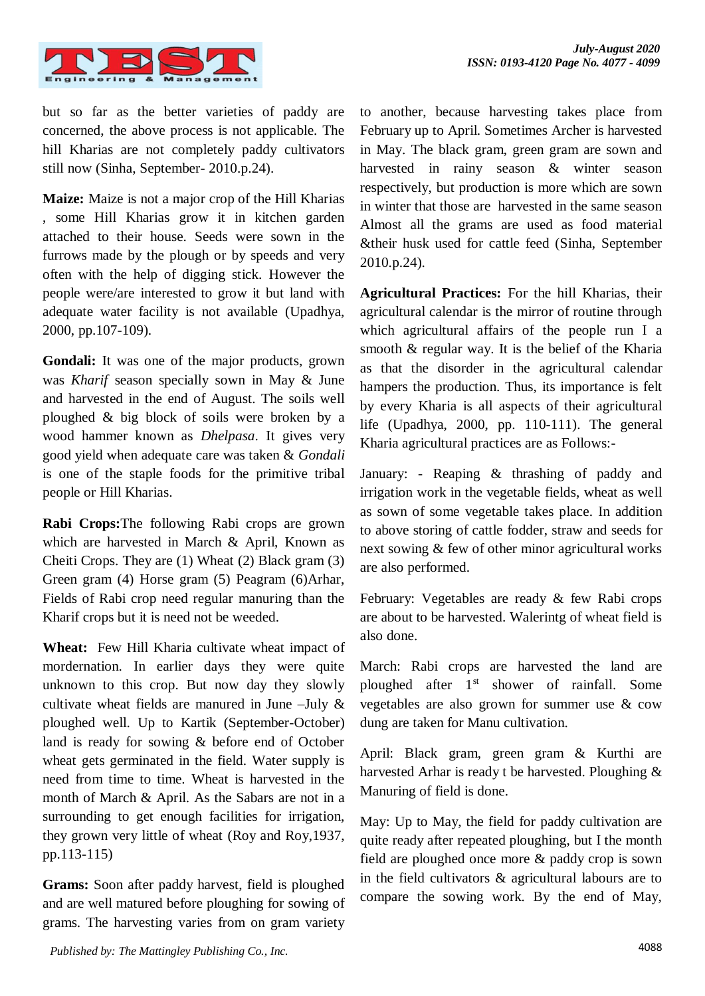

but so far as the better varieties of paddy are concerned, the above process is not applicable. The hill Kharias are not completely paddy cultivators still now (Sinha, September- 2010.p.24).

**Maize:** Maize is not a major crop of the Hill Kharias , some Hill Kharias grow it in kitchen garden attached to their house. Seeds were sown in the furrows made by the plough or by speeds and very often with the help of digging stick. However the people were/are interested to grow it but land with adequate water facility is not available (Upadhya, 2000, pp.107-109).

**Gondali:** It was one of the major products, grown was *Kharif* season specially sown in May & June and harvested in the end of August. The soils well ploughed & big block of soils were broken by a wood hammer known as *Dhelpasa*. It gives very good yield when adequate care was taken & *Gondali* is one of the staple foods for the primitive tribal people or Hill Kharias.

**Rabi Crops:**The following Rabi crops are grown which are harvested in March & April, Known as Cheiti Crops. They are (1) Wheat (2) Black gram (3) Green gram (4) Horse gram (5) Peagram (6)Arhar, Fields of Rabi crop need regular manuring than the Kharif crops but it is need not be weeded.

**Wheat:** Few Hill Kharia cultivate wheat impact of mordernation. In earlier days they were quite unknown to this crop. But now day they slowly cultivate wheat fields are manured in June –July  $\&$ ploughed well. Up to Kartik (September-October) land is ready for sowing & before end of October wheat gets germinated in the field. Water supply is need from time to time. Wheat is harvested in the month of March & April. As the Sabars are not in a surrounding to get enough facilities for irrigation, they grown very little of wheat (Roy and Roy,1937, pp.113-115)

**Grams:** Soon after paddy harvest, field is ploughed and are well matured before ploughing for sowing of grams. The harvesting varies from on gram variety to another, because harvesting takes place from February up to April. Sometimes Archer is harvested in May. The black gram, green gram are sown and harvested in rainy season & winter season respectively, but production is more which are sown in winter that those are harvested in the same season Almost all the grams are used as food material &their husk used for cattle feed (Sinha, September 2010.p.24).

**Agricultural Practices:** For the hill Kharias, their agricultural calendar is the mirror of routine through which agricultural affairs of the people run I a smooth & regular way. It is the belief of the Kharia as that the disorder in the agricultural calendar hampers the production. Thus, its importance is felt by every Kharia is all aspects of their agricultural life (Upadhya, 2000, pp. 110-111). The general Kharia agricultural practices are as Follows:-

January: - Reaping & thrashing of paddy and irrigation work in the vegetable fields, wheat as well as sown of some vegetable takes place. In addition to above storing of cattle fodder, straw and seeds for next sowing & few of other minor agricultural works are also performed.

February: Vegetables are ready & few Rabi crops are about to be harvested. Walerintg of wheat field is also done.

March: Rabi crops are harvested the land are ploughed after  $1<sup>st</sup>$  shower of rainfall. Some vegetables are also grown for summer use & cow dung are taken for Manu cultivation.

April: Black gram, green gram & Kurthi are harvested Arhar is ready t be harvested. Ploughing & Manuring of field is done.

May: Up to May, the field for paddy cultivation are quite ready after repeated ploughing, but I the month field are ploughed once more & paddy crop is sown in the field cultivators & agricultural labours are to compare the sowing work. By the end of May,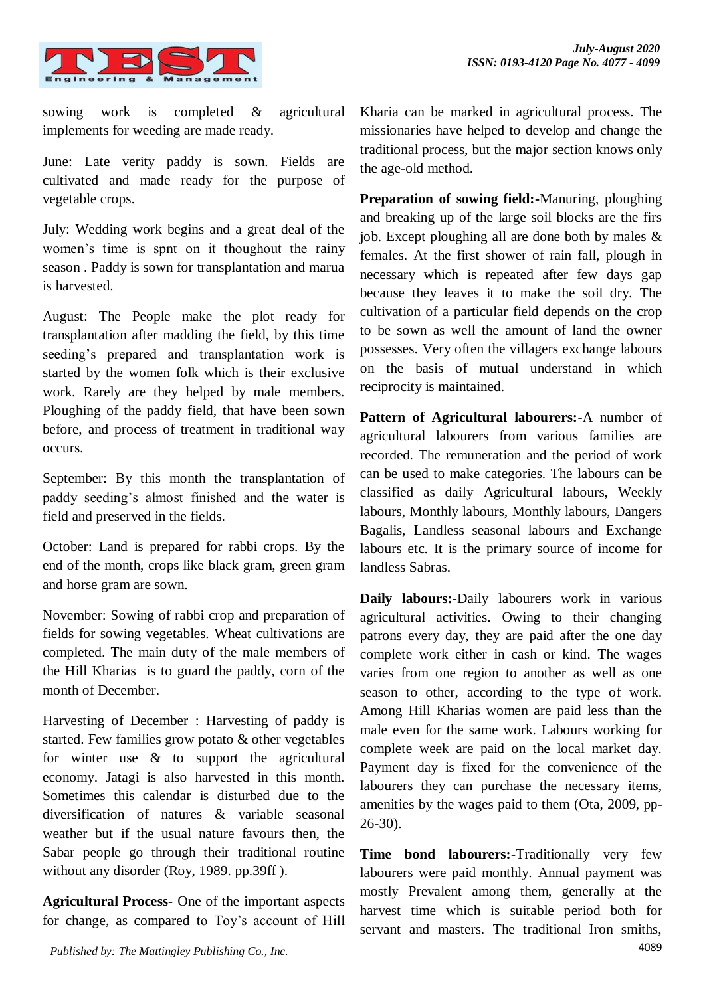

sowing work is completed & agricultural implements for weeding are made ready.

June: Late verity paddy is sown. Fields are cultivated and made ready for the purpose of vegetable crops.

July: Wedding work begins and a great deal of the women's time is spnt on it thoughout the rainy season . Paddy is sown for transplantation and marua is harvested.

August: The People make the plot ready for transplantation after madding the field, by this time seeding's prepared and transplantation work is started by the women folk which is their exclusive work. Rarely are they helped by male members. Ploughing of the paddy field, that have been sown before, and process of treatment in traditional way occurs.

September: By this month the transplantation of paddy seeding's almost finished and the water is field and preserved in the fields.

October: Land is prepared for rabbi crops. By the end of the month, crops like black gram, green gram and horse gram are sown.

November: Sowing of rabbi crop and preparation of fields for sowing vegetables. Wheat cultivations are completed. The main duty of the male members of the Hill Kharias is to guard the paddy, corn of the month of December.

Harvesting of December : Harvesting of paddy is started. Few families grow potato & other vegetables for winter use  $\&$  to support the agricultural economy. Jatagi is also harvested in this month. Sometimes this calendar is disturbed due to the diversification of natures & variable seasonal weather but if the usual nature favours then, the Sabar people go through their traditional routine without any disorder (Roy, 1989. pp.39ff).

**Agricultural Process-** One of the important aspects for change, as compared to Toy's account of Hill Kharia can be marked in agricultural process. The missionaries have helped to develop and change the traditional process, but the major section knows only the age-old method.

**Preparation of sowing field:-**Manuring, ploughing and breaking up of the large soil blocks are the firs job. Except ploughing all are done both by males & females. At the first shower of rain fall, plough in necessary which is repeated after few days gap because they leaves it to make the soil dry. The cultivation of a particular field depends on the crop to be sown as well the amount of land the owner possesses. Very often the villagers exchange labours on the basis of mutual understand in which reciprocity is maintained.

**Pattern of Agricultural labourers:-**A number of agricultural labourers from various families are recorded. The remuneration and the period of work can be used to make categories. The labours can be classified as daily Agricultural labours, Weekly labours, Monthly labours, Monthly labours, Dangers Bagalis, Landless seasonal labours and Exchange labours etc. It is the primary source of income for landless Sabras.

**Daily labours:-**Daily labourers work in various agricultural activities. Owing to their changing patrons every day, they are paid after the one day complete work either in cash or kind. The wages varies from one region to another as well as one season to other, according to the type of work. Among Hill Kharias women are paid less than the male even for the same work. Labours working for complete week are paid on the local market day. Payment day is fixed for the convenience of the labourers they can purchase the necessary items, amenities by the wages paid to them (Ota, 2009, pp-26-30).

**Time bond labourers:-**Traditionally very few labourers were paid monthly. Annual payment was mostly Prevalent among them, generally at the harvest time which is suitable period both for servant and masters. The traditional Iron smiths,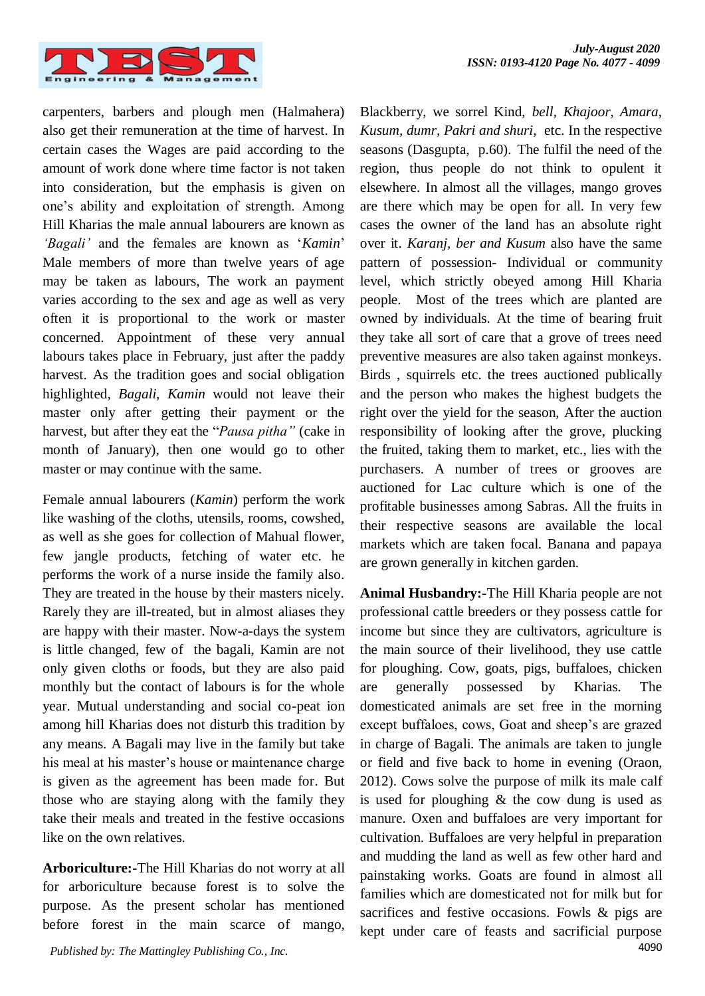

carpenters, barbers and plough men (Halmahera) also get their remuneration at the time of harvest. In certain cases the Wages are paid according to the amount of work done where time factor is not taken into consideration, but the emphasis is given on one's ability and exploitation of strength. Among Hill Kharias the male annual labourers are known as *'Bagali'* and the females are known as '*Kamin*' Male members of more than twelve years of age may be taken as labours, The work an payment varies according to the sex and age as well as very often it is proportional to the work or master concerned. Appointment of these very annual labours takes place in February, just after the paddy harvest. As the tradition goes and social obligation highlighted, *Bagali, Kamin* would not leave their master only after getting their payment or the harvest, but after they eat the "*Pausa pitha"* (cake in month of January), then one would go to other master or may continue with the same.

Female annual labourers (*Kamin*) perform the work like washing of the cloths, utensils, rooms, cowshed, as well as she goes for collection of Mahual flower, few jangle products, fetching of water etc. he performs the work of a nurse inside the family also. They are treated in the house by their masters nicely. Rarely they are ill-treated, but in almost aliases they are happy with their master. Now-a-days the system is little changed, few of the bagali, Kamin are not only given cloths or foods, but they are also paid monthly but the contact of labours is for the whole year. Mutual understanding and social co-peat ion among hill Kharias does not disturb this tradition by any means. A Bagali may live in the family but take his meal at his master's house or maintenance charge is given as the agreement has been made for. But those who are staying along with the family they take their meals and treated in the festive occasions like on the own relatives.

**Arboriculture:-**The Hill Kharias do not worry at all for arboriculture because forest is to solve the purpose. As the present scholar has mentioned before forest in the main scarce of mango, Blackberry, we sorrel Kind, *bell, Khajoor, Amara, Kusum, dumr, Pakri and shuri,* etc. In the respective seasons (Dasgupta, p.60). The fulfil the need of the region, thus people do not think to opulent it elsewhere. In almost all the villages, mango groves are there which may be open for all. In very few cases the owner of the land has an absolute right over it. *Karanj, ber and Kusum* also have the same pattern of possession- Individual or community level, which strictly obeyed among Hill Kharia people. Most of the trees which are planted are owned by individuals. At the time of bearing fruit they take all sort of care that a grove of trees need preventive measures are also taken against monkeys. Birds , squirrels etc. the trees auctioned publically and the person who makes the highest budgets the right over the yield for the season, After the auction responsibility of looking after the grove, plucking the fruited, taking them to market, etc., lies with the purchasers. A number of trees or grooves are auctioned for Lac culture which is one of the profitable businesses among Sabras. All the fruits in their respective seasons are available the local markets which are taken focal. Banana and papaya are grown generally in kitchen garden.

**Animal Husbandry:-**The Hill Kharia people are not professional cattle breeders or they possess cattle for income but since they are cultivators, agriculture is the main source of their livelihood, they use cattle for ploughing. Cow, goats, pigs, buffaloes, chicken are generally possessed by Kharias. The domesticated animals are set free in the morning except buffaloes, cows, Goat and sheep's are grazed in charge of Bagali. The animals are taken to jungle or field and five back to home in evening (Oraon, 2012). Cows solve the purpose of milk its male calf is used for ploughing & the cow dung is used as manure. Oxen and buffaloes are very important for cultivation. Buffaloes are very helpful in preparation and mudding the land as well as few other hard and painstaking works. Goats are found in almost all families which are domesticated not for milk but for sacrifices and festive occasions. Fowls & pigs are kept under care of feasts and sacrificial purpose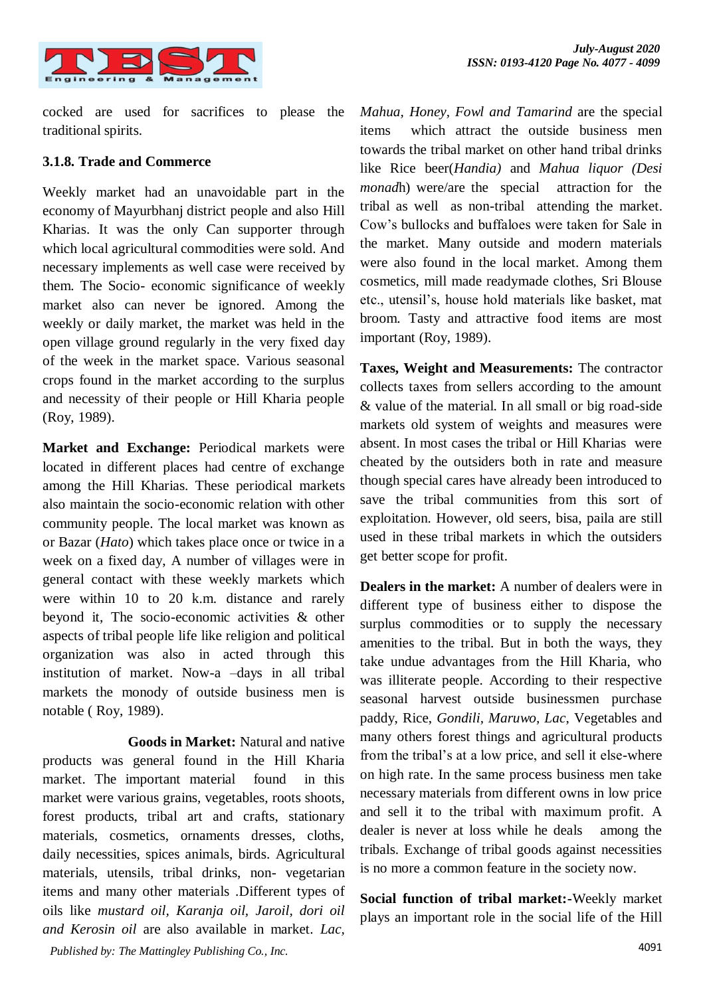

cocked are used for sacrifices to please the traditional spirits.

## **3.1.8. Trade and Commerce**

Weekly market had an unavoidable part in the economy of Mayurbhanj district people and also Hill Kharias. It was the only Can supporter through which local agricultural commodities were sold. And necessary implements as well case were received by them. The Socio- economic significance of weekly market also can never be ignored. Among the weekly or daily market, the market was held in the open village ground regularly in the very fixed day of the week in the market space. Various seasonal crops found in the market according to the surplus and necessity of their people or Hill Kharia people (Roy, 1989).

**Market and Exchange:** Periodical markets were located in different places had centre of exchange among the Hill Kharias. These periodical markets also maintain the socio-economic relation with other community people. The local market was known as or Bazar (*Hato*) which takes place once or twice in a week on a fixed day, A number of villages were in general contact with these weekly markets which were within 10 to 20 k.m. distance and rarely beyond it, The socio-economic activities & other aspects of tribal people life like religion and political organization was also in acted through this institution of market. Now-a –days in all tribal markets the monody of outside business men is notable ( Roy, 1989).

**Goods in Market:** Natural and native products was general found in the Hill Kharia market. The important material found in this market were various grains, vegetables, roots shoots, forest products, tribal art and crafts, stationary materials, cosmetics, ornaments dresses, cloths, daily necessities, spices animals, birds. Agricultural materials, utensils, tribal drinks, non- vegetarian items and many other materials .Different types of oils like *mustard oil, Karanja oil, Jaroil, dori oil and Kerosin oil* are also available in market. *Lac,* 

*Mahua, Honey, Fowl and Tamarind* are the special items which attract the outside business men towards the tribal market on other hand tribal drinks like Rice beer(*Handia)* and *Mahua liquor (Desi monad*h) were/are the special attraction for the tribal as well as non-tribal attending the market. Cow's bullocks and buffaloes were taken for Sale in the market. Many outside and modern materials were also found in the local market. Among them cosmetics, mill made readymade clothes, Sri Blouse etc., utensil's, house hold materials like basket, mat broom. Tasty and attractive food items are most important (Roy, 1989).

**Taxes, Weight and Measurements:** The contractor collects taxes from sellers according to the amount & value of the material. In all small or big road-side markets old system of weights and measures were absent. In most cases the tribal or Hill Kharias were cheated by the outsiders both in rate and measure though special cares have already been introduced to save the tribal communities from this sort of exploitation. However, old seers, bisa, paila are still used in these tribal markets in which the outsiders get better scope for profit.

**Dealers in the market:** A number of dealers were in different type of business either to dispose the surplus commodities or to supply the necessary amenities to the tribal. But in both the ways, they take undue advantages from the Hill Kharia, who was illiterate people. According to their respective seasonal harvest outside businessmen purchase paddy, Rice, *Gondili, Maruwo, Lac*, Vegetables and many others forest things and agricultural products from the tribal's at a low price, and sell it else-where on high rate. In the same process business men take necessary materials from different owns in low price and sell it to the tribal with maximum profit. A dealer is never at loss while he deals among the tribals. Exchange of tribal goods against necessities is no more a common feature in the society now.

**Social function of tribal market:-**Weekly market plays an important role in the social life of the Hill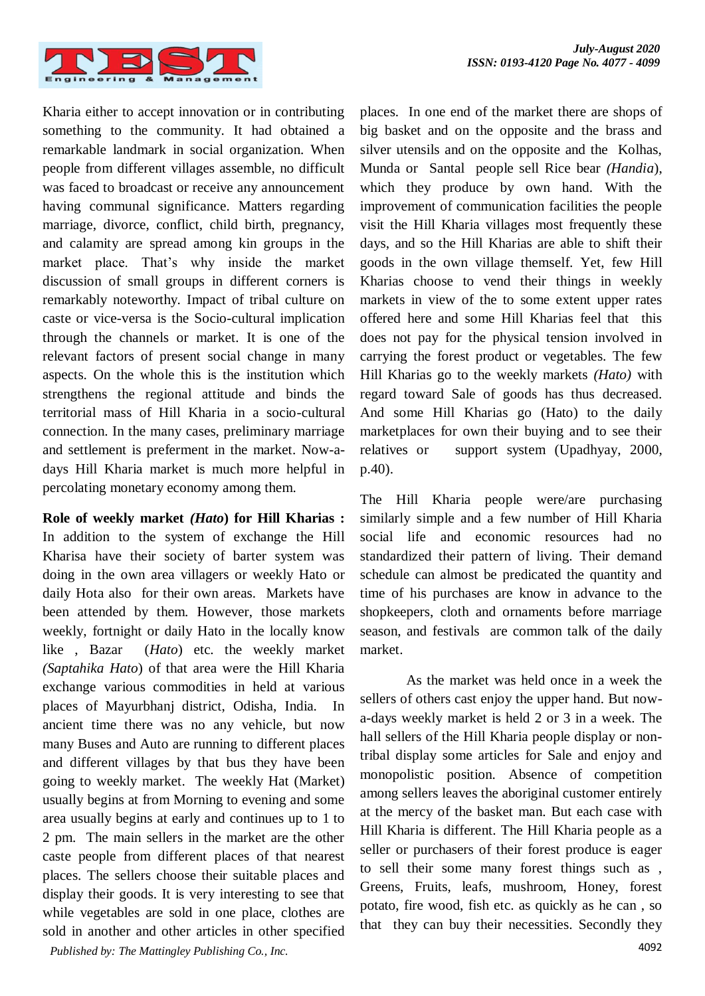

Kharia either to accept innovation or in contributing something to the community. It had obtained a remarkable landmark in social organization. When people from different villages assemble, no difficult was faced to broadcast or receive any announcement having communal significance. Matters regarding marriage, divorce, conflict, child birth, pregnancy, and calamity are spread among kin groups in the market place. That's why inside the market discussion of small groups in different corners is remarkably noteworthy. Impact of tribal culture on caste or vice-versa is the Socio-cultural implication through the channels or market. It is one of the relevant factors of present social change in many aspects. On the whole this is the institution which strengthens the regional attitude and binds the territorial mass of Hill Kharia in a socio-cultural connection. In the many cases, preliminary marriage and settlement is preferment in the market. Now-adays Hill Kharia market is much more helpful in percolating monetary economy among them.

4092 *Published by: The Mattingley Publishing Co., Inc.* **Role of weekly market** *(Hato***) for Hill Kharias :**  In addition to the system of exchange the Hill Kharisa have their society of barter system was doing in the own area villagers or weekly Hato or daily Hota also for their own areas. Markets have been attended by them. However, those markets weekly, fortnight or daily Hato in the locally know like , Bazar (*Hato*) etc. the weekly market *(Saptahika Hato*) of that area were the Hill Kharia exchange various commodities in held at various places of Mayurbhanj district, Odisha, India. In ancient time there was no any vehicle, but now many Buses and Auto are running to different places and different villages by that bus they have been going to weekly market. The weekly Hat (Market) usually begins at from Morning to evening and some area usually begins at early and continues up to 1 to 2 pm. The main sellers in the market are the other caste people from different places of that nearest places. The sellers choose their suitable places and display their goods. It is very interesting to see that while vegetables are sold in one place, clothes are sold in another and other articles in other specified

places. In one end of the market there are shops of big basket and on the opposite and the brass and silver utensils and on the opposite and the Kolhas, Munda or Santal people sell Rice bear *(Handia*), which they produce by own hand. With the improvement of communication facilities the people visit the Hill Kharia villages most frequently these days, and so the Hill Kharias are able to shift their goods in the own village themself. Yet, few Hill Kharias choose to vend their things in weekly markets in view of the to some extent upper rates offered here and some Hill Kharias feel that this does not pay for the physical tension involved in carrying the forest product or vegetables. The few Hill Kharias go to the weekly markets *(Hato)* with regard toward Sale of goods has thus decreased. And some Hill Kharias go (Hato) to the daily marketplaces for own their buying and to see their relatives or support system (Upadhyay, 2000, p.40).

The Hill Kharia people were/are purchasing similarly simple and a few number of Hill Kharia social life and economic resources had no standardized their pattern of living. Their demand schedule can almost be predicated the quantity and time of his purchases are know in advance to the shopkeepers, cloth and ornaments before marriage season, and festivals are common talk of the daily market.

As the market was held once in a week the sellers of others cast enjoy the upper hand. But nowa-days weekly market is held 2 or 3 in a week. The hall sellers of the Hill Kharia people display or nontribal display some articles for Sale and enjoy and monopolistic position. Absence of competition among sellers leaves the aboriginal customer entirely at the mercy of the basket man. But each case with Hill Kharia is different. The Hill Kharia people as a seller or purchasers of their forest produce is eager to sell their some many forest things such as , Greens, Fruits, leafs, mushroom, Honey, forest potato, fire wood, fish etc. as quickly as he can , so that they can buy their necessities. Secondly they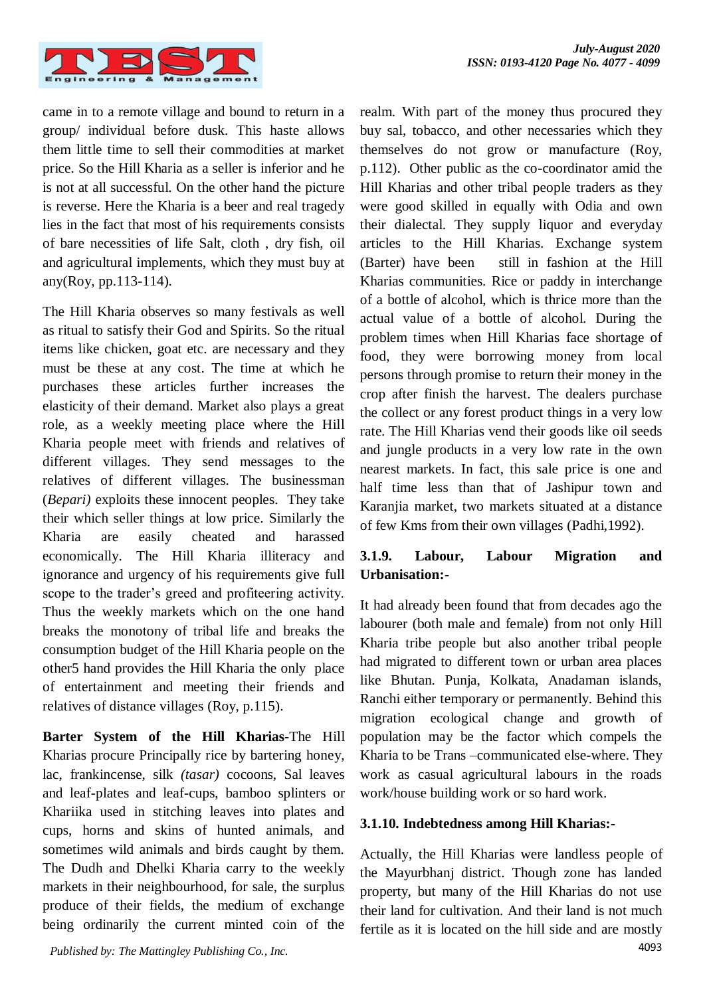

came in to a remote village and bound to return in a group/ individual before dusk. This haste allows them little time to sell their commodities at market price. So the Hill Kharia as a seller is inferior and he is not at all successful. On the other hand the picture is reverse. Here the Kharia is a beer and real tragedy lies in the fact that most of his requirements consists of bare necessities of life Salt, cloth , dry fish, oil and agricultural implements, which they must buy at any(Roy, pp.113-114).

The Hill Kharia observes so many festivals as well as ritual to satisfy their God and Spirits. So the ritual items like chicken, goat etc. are necessary and they must be these at any cost. The time at which he purchases these articles further increases the elasticity of their demand. Market also plays a great role, as a weekly meeting place where the Hill Kharia people meet with friends and relatives of different villages. They send messages to the relatives of different villages. The businessman (*Bepari)* exploits these innocent peoples. They take their which seller things at low price. Similarly the Kharia are easily cheated and harassed economically. The Hill Kharia illiteracy and ignorance and urgency of his requirements give full scope to the trader's greed and profiteering activity. Thus the weekly markets which on the one hand breaks the monotony of tribal life and breaks the consumption budget of the Hill Kharia people on the other5 hand provides the Hill Kharia the only place of entertainment and meeting their friends and relatives of distance villages (Roy, p.115).

**Barter System of the Hill Kharias-**The Hill Kharias procure Principally rice by bartering honey, lac, frankincense, silk *(tasar)* cocoons, Sal leaves and leaf-plates and leaf-cups, bamboo splinters or Khariika used in stitching leaves into plates and cups, horns and skins of hunted animals, and sometimes wild animals and birds caught by them. The Dudh and Dhelki Kharia carry to the weekly markets in their neighbourhood, for sale, the surplus produce of their fields, the medium of exchange being ordinarily the current minted coin of the realm. With part of the money thus procured they buy sal, tobacco, and other necessaries which they themselves do not grow or manufacture (Roy, p.112). Other public as the co-coordinator amid the Hill Kharias and other tribal people traders as they were good skilled in equally with Odia and own their dialectal. They supply liquor and everyday articles to the Hill Kharias. Exchange system (Barter) have been still in fashion at the Hill Kharias communities. Rice or paddy in interchange of a bottle of alcohol, which is thrice more than the actual value of a bottle of alcohol. During the problem times when Hill Kharias face shortage of food, they were borrowing money from local persons through promise to return their money in the crop after finish the harvest. The dealers purchase the collect or any forest product things in a very low rate. The Hill Kharias vend their goods like oil seeds and jungle products in a very low rate in the own nearest markets. In fact, this sale price is one and half time less than that of Jashipur town and Karanjia market, two markets situated at a distance of few Kms from their own villages (Padhi,1992).

# **3.1.9. Labour, Labour Migration and Urbanisation:-**

It had already been found that from decades ago the labourer (both male and female) from not only Hill Kharia tribe people but also another tribal people had migrated to different town or urban area places like Bhutan. Punja, Kolkata, Anadaman islands, Ranchi either temporary or permanently. Behind this migration ecological change and growth of population may be the factor which compels the Kharia to be Trans –communicated else-where. They work as casual agricultural labours in the roads work/house building work or so hard work.

## **3.1.10. Indebtedness among Hill Kharias:-**

Actually, the Hill Kharias were landless people of the Mayurbhanj district. Though zone has landed property, but many of the Hill Kharias do not use their land for cultivation. And their land is not much fertile as it is located on the hill side and are mostly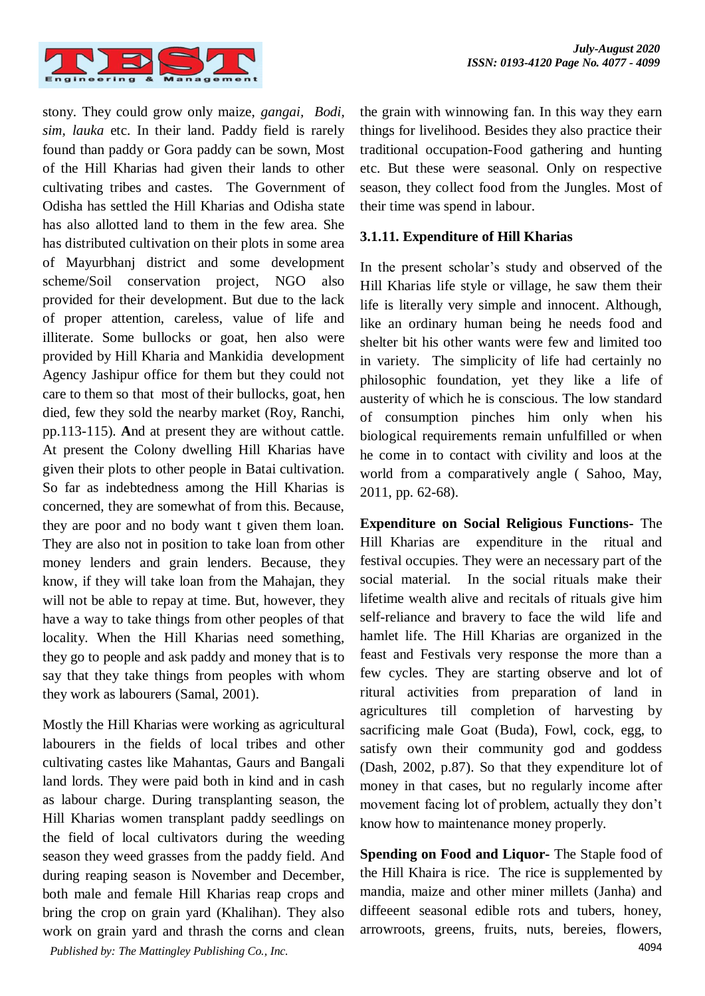

stony. They could grow only maize, *gangai, Bodi, sim, lauka* etc. In their land. Paddy field is rarely found than paddy or Gora paddy can be sown, Most of the Hill Kharias had given their lands to other cultivating tribes and castes. The Government of Odisha has settled the Hill Kharias and Odisha state has also allotted land to them in the few area. She has distributed cultivation on their plots in some area of Mayurbhanj district and some development scheme/Soil conservation project, NGO also provided for their development. But due to the lack of proper attention, careless, value of life and illiterate. Some bullocks or goat, hen also were provided by Hill Kharia and Mankidia development Agency Jashipur office for them but they could not care to them so that most of their bullocks, goat, hen died, few they sold the nearby market (Roy, Ranchi, pp.113-115). **A**nd at present they are without cattle. At present the Colony dwelling Hill Kharias have given their plots to other people in Batai cultivation. So far as indebtedness among the Hill Kharias is concerned, they are somewhat of from this. Because, they are poor and no body want t given them loan. They are also not in position to take loan from other money lenders and grain lenders. Because, they know, if they will take loan from the Mahajan, they will not be able to repay at time. But, however, they have a way to take things from other peoples of that locality. When the Hill Kharias need something, they go to people and ask paddy and money that is to say that they take things from peoples with whom they work as labourers (Samal, 2001).

4094 *Published by: The Mattingley Publishing Co., Inc.* Mostly the Hill Kharias were working as agricultural labourers in the fields of local tribes and other cultivating castes like Mahantas, Gaurs and Bangali land lords. They were paid both in kind and in cash as labour charge. During transplanting season, the Hill Kharias women transplant paddy seedlings on the field of local cultivators during the weeding season they weed grasses from the paddy field. And during reaping season is November and December, both male and female Hill Kharias reap crops and bring the crop on grain yard (Khalihan). They also work on grain yard and thrash the corns and clean

the grain with winnowing fan. In this way they earn things for livelihood. Besides they also practice their traditional occupation-Food gathering and hunting etc. But these were seasonal. Only on respective season, they collect food from the Jungles. Most of their time was spend in labour.

#### **3.1.11. Expenditure of Hill Kharias**

In the present scholar's study and observed of the Hill Kharias life style or village, he saw them their life is literally very simple and innocent. Although, like an ordinary human being he needs food and shelter bit his other wants were few and limited too in variety. The simplicity of life had certainly no philosophic foundation, yet they like a life of austerity of which he is conscious. The low standard of consumption pinches him only when his biological requirements remain unfulfilled or when he come in to contact with civility and loos at the world from a comparatively angle ( Sahoo, May, 2011, pp. 62-68).

**Expenditure on Social Religious Functions-** The Hill Kharias are expenditure in the ritual and festival occupies. They were an necessary part of the social material. In the social rituals make their lifetime wealth alive and recitals of rituals give him self-reliance and bravery to face the wild life and hamlet life. The Hill Kharias are organized in the feast and Festivals very response the more than a few cycles. They are starting observe and lot of ritural activities from preparation of land in agricultures till completion of harvesting by sacrificing male Goat (Buda), Fowl, cock, egg, to satisfy own their community god and goddess (Dash, 2002, p.87). So that they expenditure lot of money in that cases, but no regularly income after movement facing lot of problem, actually they don't know how to maintenance money properly.

**Spending on Food and Liquor-** The Staple food of the Hill Khaira is rice. The rice is supplemented by mandia, maize and other miner millets (Janha) and diffeeent seasonal edible rots and tubers, honey, arrowroots, greens, fruits, nuts, bereies, flowers,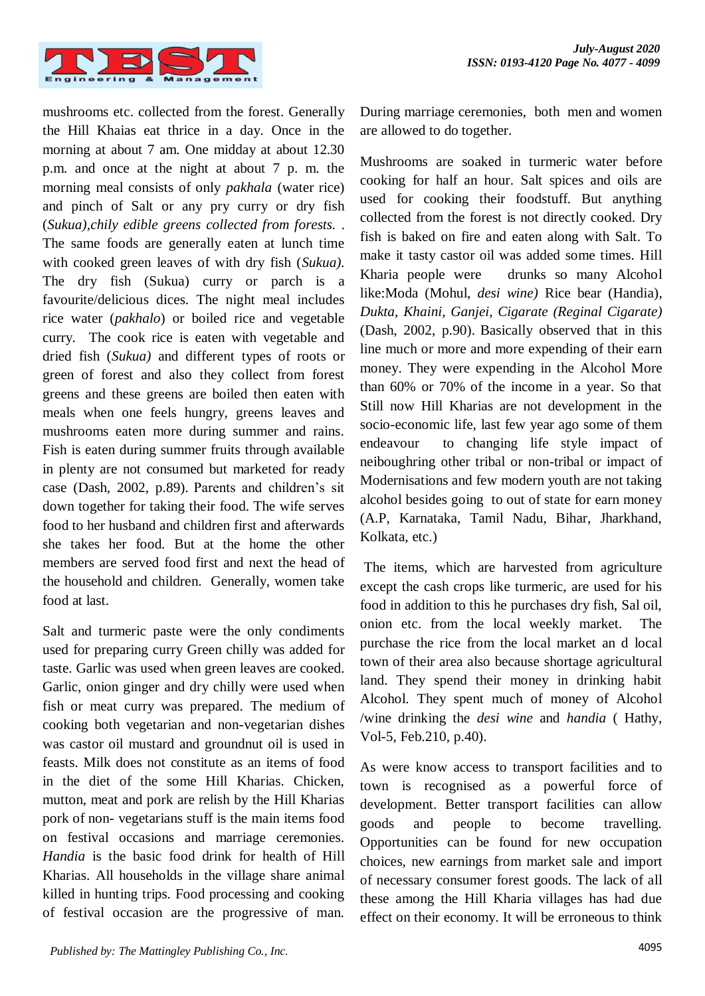

mushrooms etc. collected from the forest. Generally the Hill Khaias eat thrice in a day. Once in the morning at about 7 am. One midday at about 12.30 p.m. and once at the night at about 7 p. m. the morning meal consists of only *pakhala* (water rice) and pinch of Salt or any pry curry or dry fish (*Sukua),chily edible greens collected from forests.* . The same foods are generally eaten at lunch time with cooked green leaves of with dry fish (*Sukua).* The dry fish (Sukua) curry or parch is a favourite/delicious dices. The night meal includes rice water (*pakhalo*) or boiled rice and vegetable curry. The cook rice is eaten with vegetable and dried fish (*Sukua)* and different types of roots or green of forest and also they collect from forest greens and these greens are boiled then eaten with meals when one feels hungry, greens leaves and mushrooms eaten more during summer and rains. Fish is eaten during summer fruits through available in plenty are not consumed but marketed for ready case (Dash, 2002, p.89). Parents and children's sit down together for taking their food. The wife serves food to her husband and children first and afterwards she takes her food. But at the home the other members are served food first and next the head of the household and children. Generally, women take food at last.

Salt and turmeric paste were the only condiments used for preparing curry Green chilly was added for taste. Garlic was used when green leaves are cooked. Garlic, onion ginger and dry chilly were used when fish or meat curry was prepared. The medium of cooking both vegetarian and non-vegetarian dishes was castor oil mustard and groundnut oil is used in feasts. Milk does not constitute as an items of food in the diet of the some Hill Kharias. Chicken, mutton, meat and pork are relish by the Hill Kharias pork of non- vegetarians stuff is the main items food on festival occasions and marriage ceremonies. *Handia* is the basic food drink for health of Hill Kharias. All households in the village share animal killed in hunting trips. Food processing and cooking of festival occasion are the progressive of man.

During marriage ceremonies, both men and women are allowed to do together.

Mushrooms are soaked in turmeric water before cooking for half an hour. Salt spices and oils are used for cooking their foodstuff. But anything collected from the forest is not directly cooked. Dry fish is baked on fire and eaten along with Salt. To make it tasty castor oil was added some times. Hill Kharia people were drunks so many Alcohol like:Moda (Mohul, *desi wine)* Rice bear (Handia)*, Dukta, Khaini, Ganjei, Cigarate (Reginal Cigarate)* (Dash, 2002, p.90). Basically observed that in this line much or more and more expending of their earn money. They were expending in the Alcohol More than 60% or 70% of the income in a year. So that Still now Hill Kharias are not development in the socio-economic life, last few year ago some of them endeavour to changing life style impact of neiboughring other tribal or non-tribal or impact of Modernisations and few modern youth are not taking alcohol besides going to out of state for earn money (A.P, Karnataka, Tamil Nadu, Bihar, Jharkhand, Kolkata, etc.)

The items, which are harvested from agriculture except the cash crops like turmeric, are used for his food in addition to this he purchases dry fish, Sal oil, onion etc. from the local weekly market. The purchase the rice from the local market an d local town of their area also because shortage agricultural land. They spend their money in drinking habit Alcohol. They spent much of money of Alcohol /wine drinking the *desi wine* and *handia* ( Hathy, Vol-5, Feb.210, p.40).

As were know access to transport facilities and to town is recognised as a powerful force of development. Better transport facilities can allow goods and people to become travelling. Opportunities can be found for new occupation choices, new earnings from market sale and import of necessary consumer forest goods. The lack of all these among the Hill Kharia villages has had due effect on their economy. It will be erroneous to think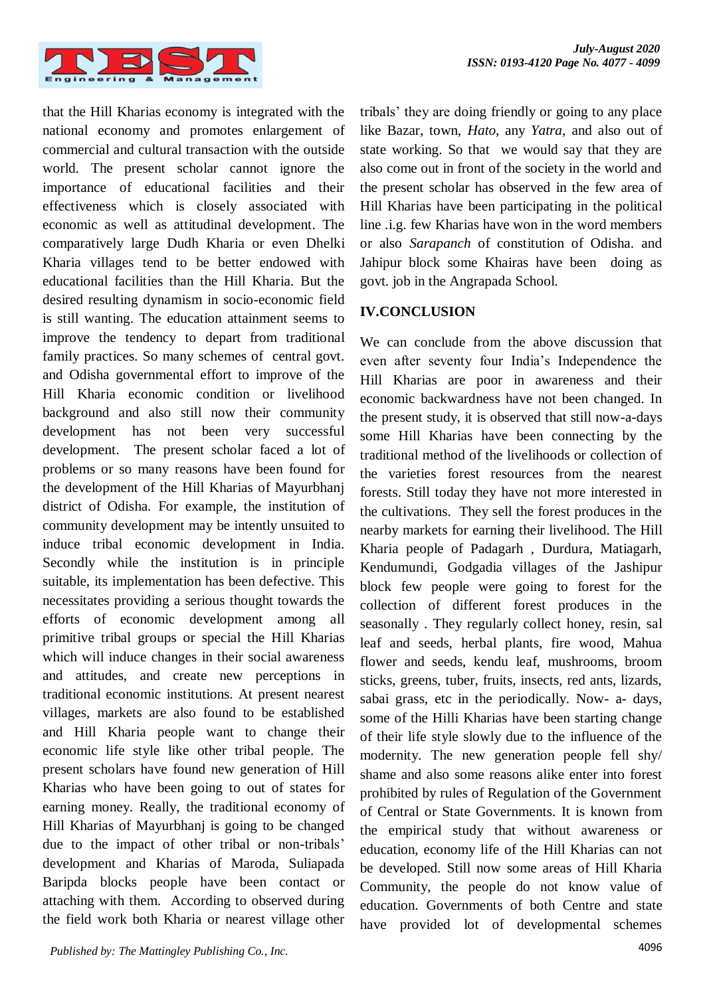

that the Hill Kharias economy is integrated with the national economy and promotes enlargement of commercial and cultural transaction with the outside world. The present scholar cannot ignore the importance of educational facilities and their effectiveness which is closely associated with economic as well as attitudinal development. The comparatively large Dudh Kharia or even Dhelki Kharia villages tend to be better endowed with educational facilities than the Hill Kharia. But the desired resulting dynamism in socio-economic field is still wanting. The education attainment seems to improve the tendency to depart from traditional family practices. So many schemes of central govt. and Odisha governmental effort to improve of the Hill Kharia economic condition or livelihood background and also still now their community development has not been very successful development. The present scholar faced a lot of problems or so many reasons have been found for the development of the Hill Kharias of Mayurbhanj district of Odisha. For example, the institution of community development may be intently unsuited to induce tribal economic development in India. Secondly while the institution is in principle suitable, its implementation has been defective. This necessitates providing a serious thought towards the efforts of economic development among all primitive tribal groups or special the Hill Kharias which will induce changes in their social awareness and attitudes, and create new perceptions in traditional economic institutions. At present nearest villages, markets are also found to be established and Hill Kharia people want to change their economic life style like other tribal people. The present scholars have found new generation of Hill Kharias who have been going to out of states for earning money. Really, the traditional economy of Hill Kharias of Mayurbhanj is going to be changed due to the impact of other tribal or non-tribals' development and Kharias of Maroda, Suliapada Baripda blocks people have been contact or attaching with them. According to observed during the field work both Kharia or nearest village other

tribals' they are doing friendly or going to any place like Bazar, town, *Hato*, any *Yatra,* and also out of state working. So that we would say that they are also come out in front of the society in the world and the present scholar has observed in the few area of Hill Kharias have been participating in the political line .i.g. few Kharias have won in the word members or also *Sarapanch* of constitution of Odisha. and Jahipur block some Khairas have been doing as govt. job in the Angrapada School.

## **IV.CONCLUSION**

We can conclude from the above discussion that even after seventy four India's Independence the Hill Kharias are poor in awareness and their economic backwardness have not been changed. In the present study, it is observed that still now-a-days some Hill Kharias have been connecting by the traditional method of the livelihoods or collection of the varieties forest resources from the nearest forests. Still today they have not more interested in the cultivations. They sell the forest produces in the nearby markets for earning their livelihood. The Hill Kharia people of Padagarh , Durdura, Matiagarh, Kendumundi, Godgadia villages of the Jashipur block few people were going to forest for the collection of different forest produces in the seasonally . They regularly collect honey, resin, sal leaf and seeds, herbal plants, fire wood, Mahua flower and seeds, kendu leaf, mushrooms, broom sticks, greens, tuber, fruits, insects, red ants, lizards, sabai grass, etc in the periodically. Now- a- days, some of the Hilli Kharias have been starting change of their life style slowly due to the influence of the modernity. The new generation people fell shy/ shame and also some reasons alike enter into forest prohibited by rules of Regulation of the Government of Central or State Governments. It is known from the empirical study that without awareness or education, economy life of the Hill Kharias can not be developed. Still now some areas of Hill Kharia Community, the people do not know value of education. Governments of both Centre and state have provided lot of developmental schemes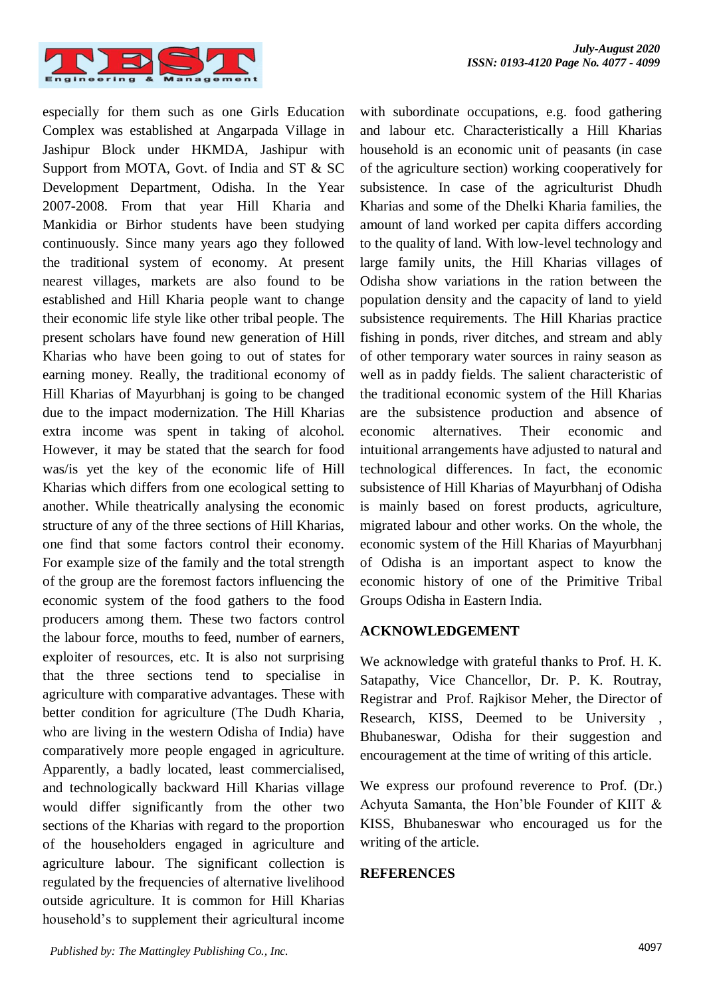

especially for them such as one Girls Education Complex was established at Angarpada Village in Jashipur Block under HKMDA, Jashipur with Support from MOTA, Govt. of India and ST & SC Development Department, Odisha. In the Year 2007-2008. From that year Hill Kharia and Mankidia or Birhor students have been studying continuously. Since many years ago they followed the traditional system of economy. At present nearest villages, markets are also found to be established and Hill Kharia people want to change their economic life style like other tribal people. The present scholars have found new generation of Hill Kharias who have been going to out of states for earning money. Really, the traditional economy of Hill Kharias of Mayurbhanj is going to be changed due to the impact modernization. The Hill Kharias extra income was spent in taking of alcohol. However, it may be stated that the search for food was/is yet the key of the economic life of Hill Kharias which differs from one ecological setting to another. While theatrically analysing the economic structure of any of the three sections of Hill Kharias, one find that some factors control their economy. For example size of the family and the total strength of the group are the foremost factors influencing the economic system of the food gathers to the food producers among them. These two factors control the labour force, mouths to feed, number of earners, exploiter of resources, etc. It is also not surprising that the three sections tend to specialise in agriculture with comparative advantages. These with better condition for agriculture (The Dudh Kharia, who are living in the western Odisha of India) have comparatively more people engaged in agriculture. Apparently, a badly located, least commercialised, and technologically backward Hill Kharias village would differ significantly from the other two sections of the Kharias with regard to the proportion of the householders engaged in agriculture and agriculture labour. The significant collection is regulated by the frequencies of alternative livelihood outside agriculture. It is common for Hill Kharias household's to supplement their agricultural income with subordinate occupations, e.g. food gathering and labour etc. Characteristically a Hill Kharias household is an economic unit of peasants (in case of the agriculture section) working cooperatively for subsistence. In case of the agriculturist Dhudh Kharias and some of the Dhelki Kharia families, the amount of land worked per capita differs according to the quality of land. With low-level technology and large family units, the Hill Kharias villages of Odisha show variations in the ration between the population density and the capacity of land to yield subsistence requirements. The Hill Kharias practice fishing in ponds, river ditches, and stream and ably of other temporary water sources in rainy season as well as in paddy fields. The salient characteristic of the traditional economic system of the Hill Kharias are the subsistence production and absence of economic alternatives. Their economic and intuitional arrangements have adjusted to natural and technological differences. In fact, the economic subsistence of Hill Kharias of Mayurbhanj of Odisha is mainly based on forest products, agriculture, migrated labour and other works. On the whole, the economic system of the Hill Kharias of Mayurbhanj of Odisha is an important aspect to know the economic history of one of the Primitive Tribal Groups Odisha in Eastern India.

### **ACKNOWLEDGEMENT**

We acknowledge with grateful thanks to Prof. H. K. Satapathy, Vice Chancellor, Dr. P. K. Routray, Registrar and Prof. Rajkisor Meher, the Director of Research, KISS, Deemed to be University , Bhubaneswar, Odisha for their suggestion and encouragement at the time of writing of this article.

We express our profound reverence to Prof. (Dr.) Achyuta Samanta, the Hon'ble Founder of KIIT & KISS, Bhubaneswar who encouraged us for the writing of the article.

### **REFERENCES**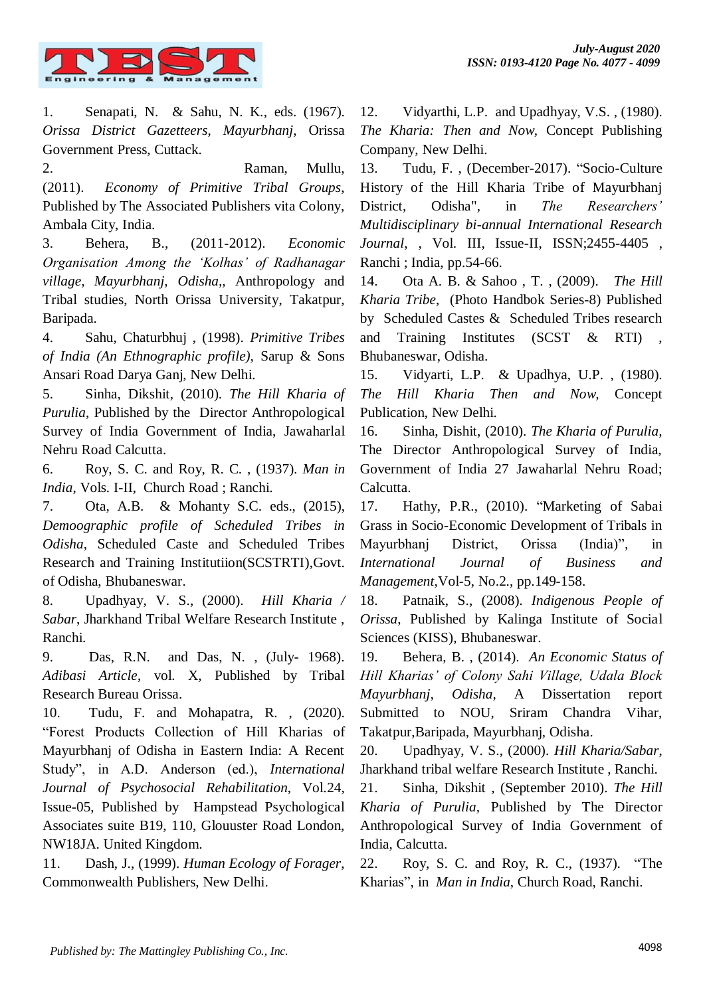

1. Senapati, N. & Sahu, N. K., eds. (1967). *Orissa District Gazetteers*, *Mayurbhanj*, Orissa Government Press, Cuttack.

2. Raman, Mullu, (2011). *Economy of Primitive Tribal Groups*, Published by The Associated Publishers vita Colony, Ambala City, India.

3. Behera, B., (2011-2012). *Economic Organisation Among the 'Kolhas' of Radhanagar village, Mayurbhanj, Odisha,,* Anthropology and Tribal studies, North Orissa University, Takatpur, Baripada.

4. Sahu, Chaturbhuj , (1998). *Primitive Tribes of India (An Ethnographic profile),* Sarup & Sons Ansari Road Darya Ganj, New Delhi.

5. Sinha, Dikshit*,* (2010). *The Hill Kharia of Purulia*, Published by the Director Anthropological Survey of India Government of India, Jawaharlal Nehru Road Calcutta.

6. Roy, S. C. and Roy, R. C. , (1937). *Man in India*, Vols. I-II, Church Road ; Ranchi.

7. Ota, A.B. & Mohanty S.C. eds., (2015), *Demoographic profile of Scheduled Tribes in Odisha*, Scheduled Caste and Scheduled Tribes Research and Training Institutiion(SCSTRTI),Govt. of Odisha, Bhubaneswar.

8. Upadhyay, V. S., (2000). *Hill Kharia / Sabar*, Jharkhand Tribal Welfare Research Institute , Ranchi.

9. Das, R.N. and Das, N. , (July- 1968). *Adibasi Article*, vol. X, Published by Tribal Research Bureau Orissa.

10. Tudu, F. and Mohapatra, R. , (2020). "Forest Products Collection of Hill Kharias of Mayurbhanj of Odisha in Eastern India: A Recent Study", in A.D. Anderson (ed.), *International Journal of Psychosocial Rehabilitation*, Vol.24, Issue-05, Published by Hampstead Psychological Associates suite B19, 110, Glouuster Road London, NW18JA. United Kingdom.

11. Dash, J., (1999). *Human Ecology of Forager*, Commonwealth Publishers, New Delhi.

12. Vidyarthi, L.P. and Upadhyay, V.S. , (1980). *The Kharia: Then and Now,* Concept Publishing Company, New Delhi.

13. Tudu, F. , (December-2017). "Socio-Culture History of the Hill Kharia Tribe of Mayurbhanj District, Odisha"*,* in *The Researchers' Multidisciplinary bi-annual International Research Journal*, , Vol. III, Issue-II, ISSN;2455-4405 , Ranchi ; India, pp.54-66.

14. Ota A. B. & Sahoo , T. , (2009). *The Hill Kharia Tribe*, (Photo Handbok Series-8) Published by Scheduled Castes & Scheduled Tribes research and Training Institutes (SCST & RTI) , Bhubaneswar, Odisha.

15. Vidyarti, L.P. & Upadhya, U.P. , (1980). *The Hill Kharia Then and Now,* Concept Publication, New Delhi.

16. Sinha, Dishit, (2010). *The Kharia of Purulia,* The Director Anthropological Survey of India, Government of India 27 Jawaharlal Nehru Road; Calcutta.

17. Hathy, P.R., (2010). "Marketing of Sabai Grass in Socio-Economic Development of Tribals in Mayurbhanj District, Orissa (India)"*,* in *International Journal of Business and Management*,Vol-5, No.2., pp.149-158.

18. Patnaik, S., (2008). *Indigenous People of Orissa*, Published by Kalinga Institute of Social Sciences (KISS), Bhubaneswar.

19. Behera, B. , (2014). *An Economic Status of Hill Kharias' of Colony Sahi Village, Udala Block Mayurbhanj, Odisha,* A Dissertation report Submitted to NOU, Sriram Chandra Vihar, Takatpur,Baripada, Mayurbhanj, Odisha.

20. Upadhyay, V. S., (2000). *Hill Kharia/Sabar*, Jharkhand tribal welfare Research Institute , Ranchi.

21. Sinha, Dikshit , (September 2010). *The Hill Kharia of Purulia,* Published by The Director Anthropological Survey of India Government of India, Calcutta.

22. Roy, S. C. and Roy, R. C., (1937). "The Kharias", in *Man in India*, Church Road, Ranchi.